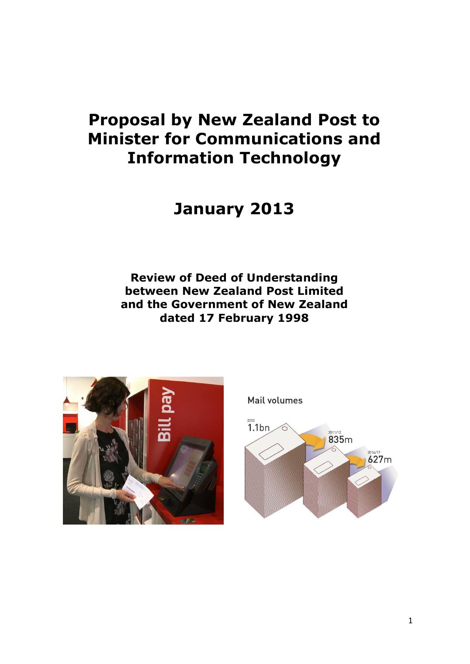# **Proposal by New Zealand Post to Minister for Communications and Information Technology**

**January 2013**

**Review of Deed of Understanding between New Zealand Post Limited and the Government of New Zealand dated 17 February 1998**



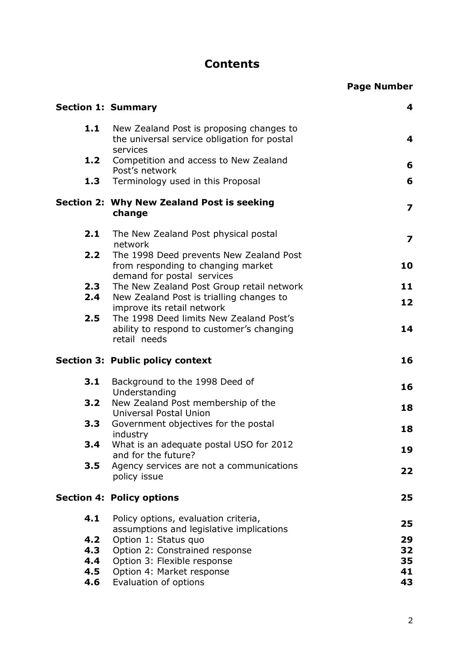# **Contents**

| <b>Section 1: Summary</b> |                                                                                                             | 4                       |  |  |  |  |
|---------------------------|-------------------------------------------------------------------------------------------------------------|-------------------------|--|--|--|--|
| 1.1                       | New Zealand Post is proposing changes to<br>the universal service obligation for postal<br>services         | 4                       |  |  |  |  |
| 1.2                       | Competition and access to New Zealand                                                                       | 6                       |  |  |  |  |
| 1.3                       | Post's network<br>Terminology used in this Proposal                                                         | 6                       |  |  |  |  |
|                           | Section 2: Why New Zealand Post is seeking<br>change                                                        | $\overline{\mathbf{z}}$ |  |  |  |  |
| 2.1                       | The New Zealand Post physical postal<br>network                                                             | $\overline{\mathbf{z}}$ |  |  |  |  |
| 2.2                       | The 1998 Deed prevents New Zealand Post<br>from responding to changing market<br>demand for postal services | 10                      |  |  |  |  |
| 2.3                       | The New Zealand Post Group retail network                                                                   | 11                      |  |  |  |  |
| 2.4                       | New Zealand Post is trialling changes to<br>improve its retail network                                      | 12                      |  |  |  |  |
| 2.5                       | The 1998 Deed limits New Zealand Post's<br>ability to respond to customer's changing<br>retail needs        |                         |  |  |  |  |
|                           |                                                                                                             |                         |  |  |  |  |
|                           | <b>Section 3: Public policy context</b>                                                                     | 16                      |  |  |  |  |
| 3.1                       | Background to the 1998 Deed of                                                                              | 16                      |  |  |  |  |
| 3.2                       | Understanding<br>New Zealand Post membership of the                                                         |                         |  |  |  |  |
| 3.3                       | Universal Postal Union<br>Government objectives for the postal                                              | 18                      |  |  |  |  |
| 3.4                       | industry<br>What is an adequate postal USO for 2012                                                         | 18                      |  |  |  |  |
| 3.5                       | and for the future?<br>Agency services are not a communications<br>policy issue                             | 19<br>22                |  |  |  |  |
|                           | <b>Section 4: Policy options</b>                                                                            | 25                      |  |  |  |  |
| 4.1                       | Policy options, evaluation criteria,<br>assumptions and legislative implications                            | 25                      |  |  |  |  |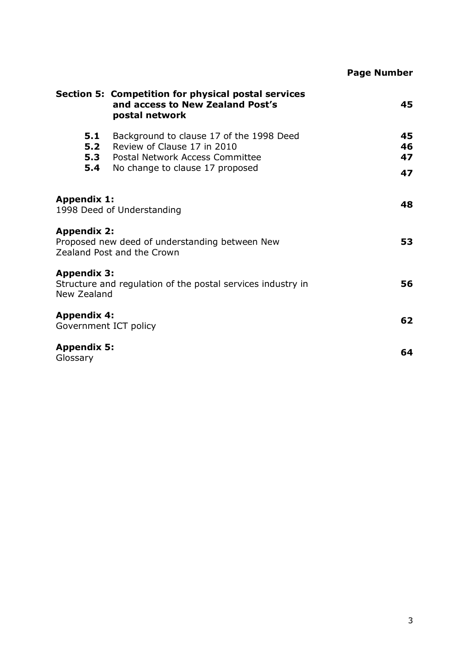|                                             |                                                                                                                                               | <b>Page Number</b>   |
|---------------------------------------------|-----------------------------------------------------------------------------------------------------------------------------------------------|----------------------|
|                                             | Section 5: Competition for physical postal services<br>and access to New Zealand Post's<br>postal network                                     | 45                   |
| 5.1<br>5.2<br>5.3<br>5.4                    | Background to clause 17 of the 1998 Deed<br>Review of Clause 17 in 2010<br>Postal Network Access Committee<br>No change to clause 17 proposed | 45<br>46<br>47<br>47 |
| <b>Appendix 1:</b>                          | 1998 Deed of Understanding                                                                                                                    | 48                   |
| <b>Appendix 2:</b>                          | Proposed new deed of understanding between New<br>Zealand Post and the Crown                                                                  | 53                   |
| <b>Appendix 3:</b><br>New Zealand           | Structure and regulation of the postal services industry in                                                                                   | 56                   |
| <b>Appendix 4:</b><br>Government ICT policy |                                                                                                                                               | 62                   |
| <b>Appendix 5:</b><br>Glossary              |                                                                                                                                               | 64                   |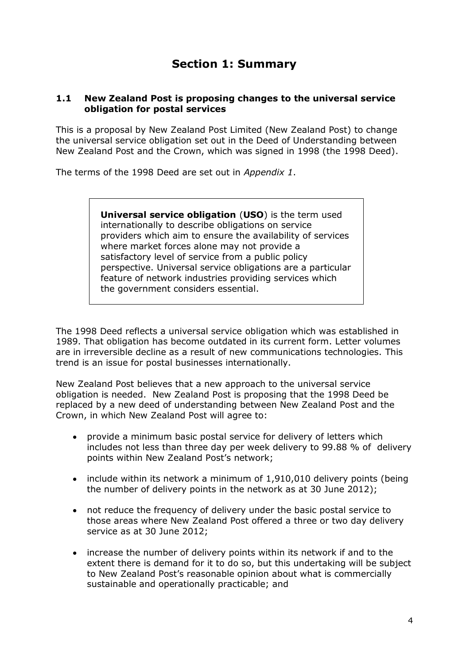# **Section 1: Summary**

#### **1.1 New Zealand Post is proposing changes to the universal service obligation for postal services**

This is a proposal by New Zealand Post Limited (New Zealand Post) to change the universal service obligation set out in the Deed of Understanding between New Zealand Post and the Crown, which was signed in 1998 (the 1998 Deed).

The terms of the 1998 Deed are set out in *Appendix 1*.

**Universal service obligation** (**USO**) is the term used internationally to describe obligations on service providers which aim to ensure the availability of services where market forces alone may not provide a satisfactory level of service from a public policy perspective. Universal service obligations are a particular feature of network industries providing services which the government considers essential.

The 1998 Deed reflects a universal service obligation which was established in 1989. That obligation has become outdated in its current form. Letter volumes are in irreversible decline as a result of new communications technologies. This trend is an issue for postal businesses internationally.

New Zealand Post believes that a new approach to the universal service obligation is needed. New Zealand Post is proposing that the 1998 Deed be replaced by a new deed of understanding between New Zealand Post and the Crown, in which New Zealand Post will agree to:

- provide a minimum basic postal service for delivery of letters which includes not less than three day per week delivery to 99.88 % of delivery points within New Zealand Post's network;
- include within its network a minimum of 1,910,010 delivery points (being the number of delivery points in the network as at 30 June 2012);
- $\bullet$ not reduce the frequency of delivery under the basic postal service to those areas where New Zealand Post offered a three or two day delivery service as at 30 June 2012;
- increase the number of delivery points within its network if and to the  $\bullet$ extent there is demand for it to do so, but this undertaking will be subject to New Zealand Post's reasonable opinion about what is commercially sustainable and operationally practicable; and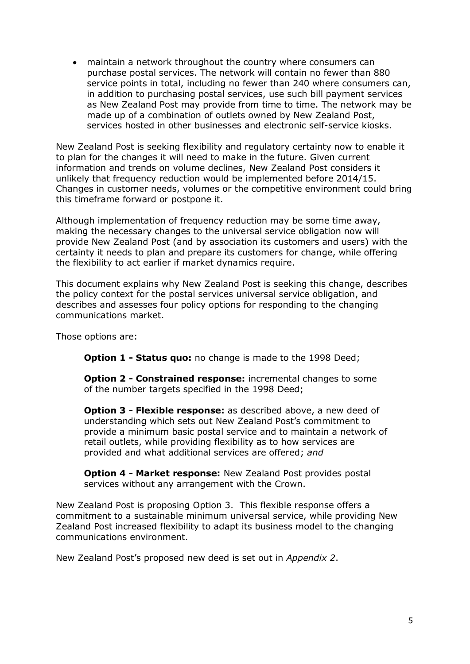maintain a network throughout the country where consumers can purchase postal services. The network will contain no fewer than 880 service points in total, including no fewer than 240 where consumers can, in addition to purchasing postal services, use such bill payment services as New Zealand Post may provide from time to time. The network may be made up of a combination of outlets owned by New Zealand Post, services hosted in other businesses and electronic self-service kiosks.

New Zealand Post is seeking flexibility and regulatory certainty now to enable it to plan for the changes it will need to make in the future. Given current information and trends on volume declines, New Zealand Post considers it unlikely that frequency reduction would be implemented before 2014/15. Changes in customer needs, volumes or the competitive environment could bring this timeframe forward or postpone it.

Although implementation of frequency reduction may be some time away, making the necessary changes to the universal service obligation now will provide New Zealand Post (and by association its customers and users) with the certainty it needs to plan and prepare its customers for change, while offering the flexibility to act earlier if market dynamics require.

This document explains why New Zealand Post is seeking this change, describes the policy context for the postal services universal service obligation, and describes and assesses four policy options for responding to the changing communications market.

Those options are:

**Option 1 - Status quo:** no change is made to the 1998 Deed;

**Option 2 - Constrained response:** incremental changes to some of the number targets specified in the 1998 Deed;

**Option 3 - Flexible response:** as described above, a new deed of understanding which sets out New Zealand Post's commitment to provide a minimum basic postal service and to maintain a network of retail outlets, while providing flexibility as to how services are provided and what additional services are offered; *and*

**Option 4 - Market response:** New Zealand Post provides postal services without any arrangement with the Crown.

New Zealand Post is proposing Option 3. This flexible response offers a commitment to a sustainable minimum universal service, while providing New Zealand Post increased flexibility to adapt its business model to the changing communications environment.

New Zealand Post's proposed new deed is set out in *Appendix 2*.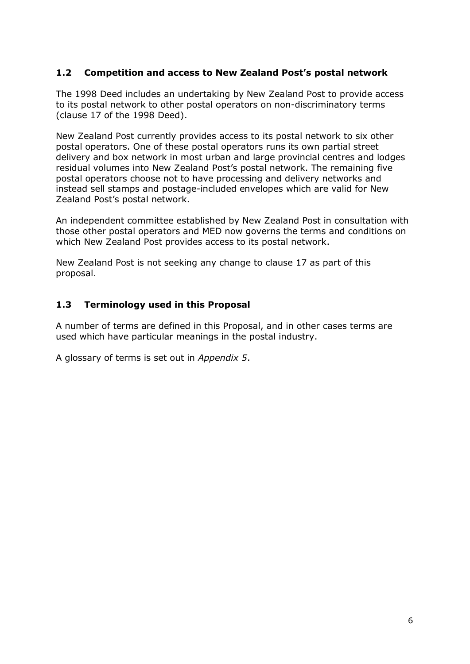## **1.2 Competition and access to New Zealand Post's postal network**

The 1998 Deed includes an undertaking by New Zealand Post to provide access to its postal network to other postal operators on non-discriminatory terms (clause 17 of the 1998 Deed).

New Zealand Post currently provides access to its postal network to six other postal operators. One of these postal operators runs its own partial street delivery and box network in most urban and large provincial centres and lodges residual volumes into New Zealand Post's postal network. The remaining five postal operators choose not to have processing and delivery networks and instead sell stamps and postage-included envelopes which are valid for New Zealand Post's postal network.

An independent committee established by New Zealand Post in consultation with those other postal operators and MED now governs the terms and conditions on which New Zealand Post provides access to its postal network.

New Zealand Post is not seeking any change to clause 17 as part of this proposal.

## **1.3 Terminology used in this Proposal**

A number of terms are defined in this Proposal, and in other cases terms are used which have particular meanings in the postal industry.

A glossary of terms is set out in *Appendix 5*.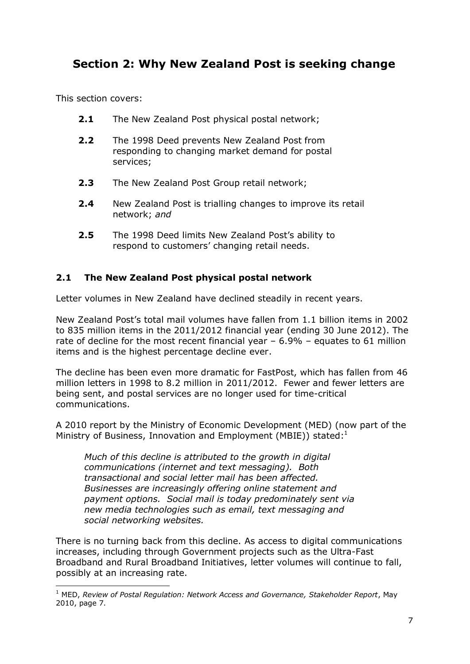# **Section 2: Why New Zealand Post is seeking change**

This section covers:

1

- **2.1** The New Zealand Post physical postal network;
- **2.2** The 1998 Deed prevents New Zealand Post from responding to changing market demand for postal services;
- **2.3** The New Zealand Post Group retail network;
- **2.4** New Zealand Post is trialling changes to improve its retail network; *and*
- **2.5** The 1998 Deed limits New Zealand Post's ability to respond to customers' changing retail needs.

## **2.1 The New Zealand Post physical postal network**

Letter volumes in New Zealand have declined steadily in recent years.

New Zealand Post's total mail volumes have fallen from 1.1 billion items in 2002 to 835 million items in the 2011/2012 financial year (ending 30 June 2012). The rate of decline for the most recent financial year  $-6.9\%$  – equates to 61 million items and is the highest percentage decline ever.

The decline has been even more dramatic for FastPost, which has fallen from 46 million letters in 1998 to 8.2 million in 2011/2012. Fewer and fewer letters are being sent, and postal services are no longer used for time-critical communications.

A 2010 report by the Ministry of Economic Development (MED) (now part of the Ministry of Business, Innovation and Employment (MBIE)) stated:<sup>1</sup>

*Much of this decline is attributed to the growth in digital communications (internet and text messaging). Both transactional and social letter mail has been affected. Businesses are increasingly offering online statement and payment options. Social mail is today predominately sent via new media technologies such as email, text messaging and social networking websites.*

There is no turning back from this decline. As access to digital communications increases, including through Government projects such as the Ultra-Fast Broadband and Rural Broadband Initiatives, letter volumes will continue to fall, possibly at an increasing rate.

<sup>1</sup> MED, *Review of Postal Regulation: Network Access and Governance, Stakeholder Report*, May 2010, page 7.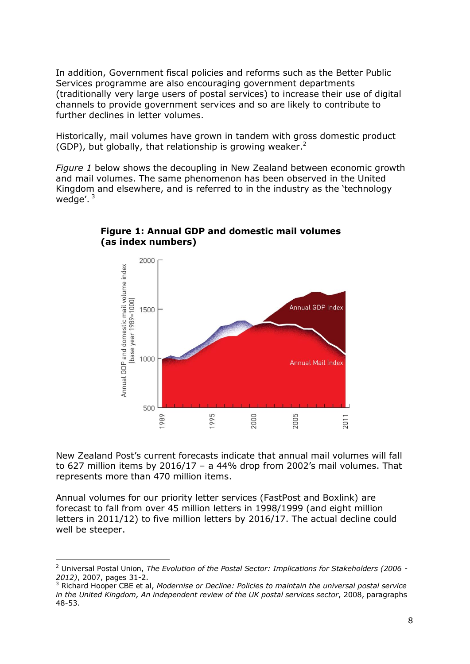In addition, Government fiscal policies and reforms such as the Better Public Services programme are also encouraging government departments (traditionally very large users of postal services) to increase their use of digital channels to provide government services and so are likely to contribute to further declines in letter volumes.

Historically, mail volumes have grown in tandem with gross domestic product (GDP), but globally, that relationship is growing weaker.<sup>2</sup>

*Figure 1* below shows the decoupling in New Zealand between economic growth and mail volumes. The same phenomenon has been observed in the United Kingdom and elsewhere, and is referred to in the industry as the 'technology wedge'. $3$ 



**Figure 1: Annual GDP and domestic mail volumes (as index numbers)**

New Zealand Post's current forecasts indicate that annual mail volumes will fall to 627 million items by 2016/17 – a 44% drop from 2002's mail volumes. That represents more than 470 million items.

Annual volumes for our priority letter services (FastPost and Boxlink) are forecast to fall from over 45 million letters in 1998/1999 (and eight million letters in 2011/12) to five million letters by 2016/17. The actual decline could well be steeper.

<u>.</u>

<sup>2</sup> Universal Postal Union, *The Evolution of the Postal Sector: Implications for Stakeholders (2006 - 2012)*, 2007, pages 31-2.

<sup>3</sup> Richard Hooper CBE et al, *Modernise or Decline: Policies to maintain the universal postal service in the United Kingdom, An independent review of the UK postal services sector*, 2008, paragraphs 48-53.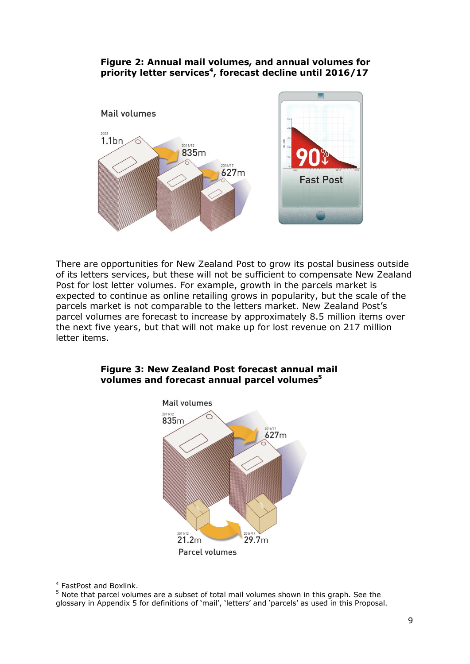## **Figure 2: Annual mail volumes, and annual volumes for priority letter services<sup>4</sup> , forecast decline until 2016/17**



There are opportunities for New Zealand Post to grow its postal business outside of its letters services, but these will not be sufficient to compensate New Zealand Post for lost letter volumes. For example, growth in the parcels market is expected to continue as online retailing grows in popularity, but the scale of the parcels market is not comparable to the letters market. New Zealand Post's parcel volumes are forecast to increase by approximately 8.5 million items over the next five years, but that will not make up for lost revenue on 217 million letter items.



## **Figure 3: New Zealand Post forecast annual mail volumes and forecast annual parcel volumes<sup>5</sup>**

<u>.</u>

<sup>4</sup> FastPost and Boxlink.

 $5$  Note that parcel volumes are a subset of total mail volumes shown in this graph. See the glossary in Appendix 5 for definitions of 'mail', 'letters' and 'parcels' as used in this Proposal.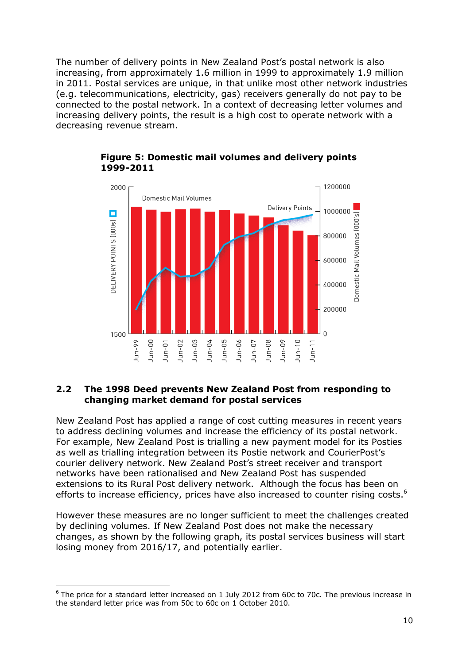The number of delivery points in New Zealand Post's postal network is also increasing, from approximately 1.6 million in 1999 to approximately 1.9 million in 2011. Postal services are unique, in that unlike most other network industries (e.g. telecommunications, electricity, gas) receivers generally do not pay to be connected to the postal network. In a context of decreasing letter volumes and increasing delivery points, the result is a high cost to operate network with a decreasing revenue stream.



## **Figure 5: Domestic mail volumes and delivery points 1999-2011**

## **2.2 The 1998 Deed prevents New Zealand Post from responding to changing market demand for postal services**

New Zealand Post has applied a range of cost cutting measures in recent years to address declining volumes and increase the efficiency of its postal network. For example, New Zealand Post is trialling a new payment model for its Posties as well as trialling integration between its Postie network and CourierPost's courier delivery network. New Zealand Post's street receiver and transport networks have been rationalised and New Zealand Post has suspended extensions to its Rural Post delivery network. Although the focus has been on efforts to increase efficiency, prices have also increased to counter rising costs.<sup>6</sup>

However these measures are no longer sufficient to meet the challenges created by declining volumes. If New Zealand Post does not make the necessary changes, as shown by the following graph, its postal services business will start losing money from 2016/17, and potentially earlier.

1

 $6$  The price for a standard letter increased on 1 July 2012 from 60c to 70c. The previous increase in the standard letter price was from 50c to 60c on 1 October 2010.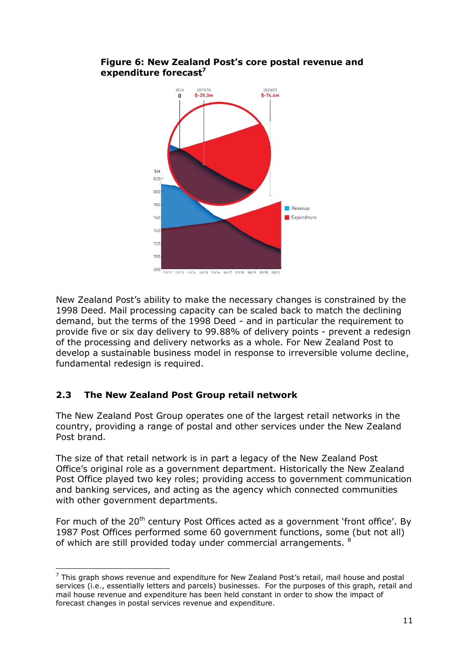

## **Figure 6: New Zealand Post's core postal revenue and expenditure forecast<sup>7</sup>**

New Zealand Post's ability to make the necessary changes is constrained by the 1998 Deed. Mail processing capacity can be scaled back to match the declining demand, but the terms of the 1998 Deed - and in particular the requirement to provide five or six day delivery to 99.88% of delivery points - prevent a redesign of the processing and delivery networks as a whole. For New Zealand Post to develop a sustainable business model in response to irreversible volume decline, fundamental redesign is required.

## **2.3 The New Zealand Post Group retail network**

1

The New Zealand Post Group operates one of the largest retail networks in the country, providing a range of postal and other services under the New Zealand Post brand.

The size of that retail network is in part a legacy of the New Zealand Post Office's original role as a government department. Historically the New Zealand Post Office played two key roles; providing access to government communication and banking services, and acting as the agency which connected communities with other government departments.

For much of the 20<sup>th</sup> century Post Offices acted as a government 'front office'. By 1987 Post Offices performed some 60 government functions, some (but not all) of which are still provided today under commercial arrangements. <sup>8</sup>

 $7$  This araph shows revenue and expenditure for New Zealand Post's retail, mail house and postal services (i.e., essentially letters and parcels) businesses. For the purposes of this graph, retail and mail house revenue and expenditure has been held constant in order to show the impact of forecast changes in postal services revenue and expenditure.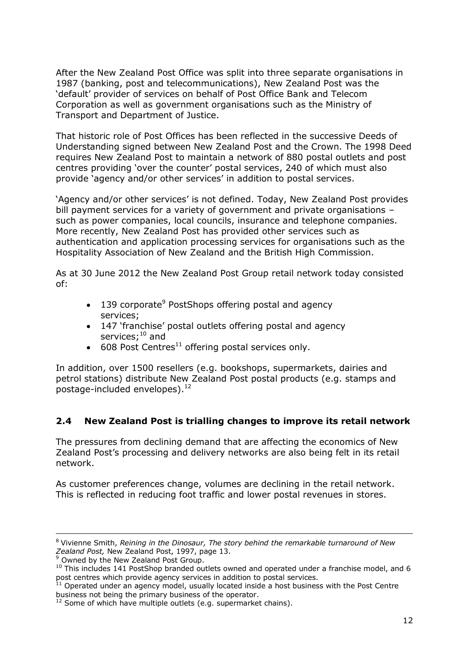After the New Zealand Post Office was split into three separate organisations in 1987 (banking, post and telecommunications), New Zealand Post was the 'default' provider of services on behalf of Post Office Bank and Telecom Corporation as well as government organisations such as the Ministry of Transport and Department of Justice.

That historic role of Post Offices has been reflected in the successive Deeds of Understanding signed between New Zealand Post and the Crown. The 1998 Deed requires New Zealand Post to maintain a network of 880 postal outlets and post centres providing 'over the counter' postal services, 240 of which must also provide 'agency and/or other services' in addition to postal services.

'Agency and/or other services' is not defined. Today, New Zealand Post provides bill payment services for a variety of government and private organisations – such as power companies, local councils, insurance and telephone companies. More recently, New Zealand Post has provided other services such as authentication and application processing services for organisations such as the Hospitality Association of New Zealand and the British High Commission.

As at 30 June 2012 the New Zealand Post Group retail network today consisted of:

- 139 corporate<sup>9</sup> PostShops offering postal and agency services;
- 147 'franchise' postal outlets offering postal and agency services;<sup>10</sup> and
- $\bullet$  608 Post Centres<sup>11</sup> offering postal services only.

In addition, over 1500 resellers (e.g. bookshops, supermarkets, dairies and petrol stations) distribute New Zealand Post postal products (e.g. stamps and postage-included envelopes).<sup>12</sup>

## **2.4 New Zealand Post is trialling changes to improve its retail network**

The pressures from declining demand that are affecting the economics of New Zealand Post's processing and delivery networks are also being felt in its retail network.

As customer preferences change, volumes are declining in the retail network. This is reflected in reducing foot traffic and lower postal revenues in stores.

<u>.</u>

<sup>8</sup> Vivienne Smith, *Reining in the Dinosaur, The story behind the remarkable turnaround of New Zealand Post,* New Zealand Post, 1997, page 13.

Owned by the New Zealand Post Group.

<sup>&</sup>lt;sup>10</sup> This includes 141 PostShop branded outlets owned and operated under a franchise model, and 6 post centres which provide agency services in addition to postal services.

 $11$  Operated under an agency model, usually located inside a host business with the Post Centre business not being the primary business of the operator.

 $12$  Some of which have multiple outlets (e.g. supermarket chains).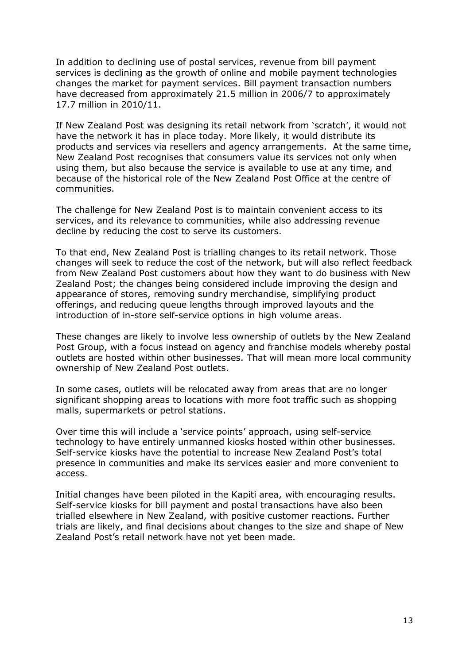In addition to declining use of postal services, revenue from bill payment services is declining as the growth of online and mobile payment technologies changes the market for payment services. Bill payment transaction numbers have decreased from approximately 21.5 million in 2006/7 to approximately 17.7 million in 2010/11.

If New Zealand Post was designing its retail network from 'scratch', it would not have the network it has in place today. More likely, it would distribute its products and services via resellers and agency arrangements. At the same time, New Zealand Post recognises that consumers value its services not only when using them, but also because the service is available to use at any time, and because of the historical role of the New Zealand Post Office at the centre of communities.

The challenge for New Zealand Post is to maintain convenient access to its services, and its relevance to communities, while also addressing revenue decline by reducing the cost to serve its customers.

To that end, New Zealand Post is trialling changes to its retail network. Those changes will seek to reduce the cost of the network, but will also reflect feedback from New Zealand Post customers about how they want to do business with New Zealand Post; the changes being considered include improving the design and appearance of stores, removing sundry merchandise, simplifying product offerings, and reducing queue lengths through improved layouts and the introduction of in-store self-service options in high volume areas.

These changes are likely to involve less ownership of outlets by the New Zealand Post Group, with a focus instead on agency and franchise models whereby postal outlets are hosted within other businesses. That will mean more local community ownership of New Zealand Post outlets.

In some cases, outlets will be relocated away from areas that are no longer significant shopping areas to locations with more foot traffic such as shopping malls, supermarkets or petrol stations.

Over time this will include a 'service points' approach, using self-service technology to have entirely unmanned kiosks hosted within other businesses. Self-service kiosks have the potential to increase New Zealand Post's total presence in communities and make its services easier and more convenient to access.

Initial changes have been piloted in the Kapiti area, with encouraging results. Self-service kiosks for bill payment and postal transactions have also been trialled elsewhere in New Zealand, with positive customer reactions. Further trials are likely, and final decisions about changes to the size and shape of New Zealand Post's retail network have not yet been made.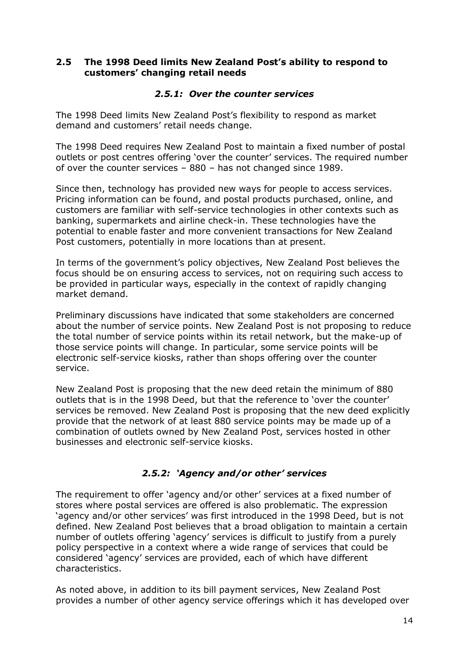## **2.5 The 1998 Deed limits New Zealand Post's ability to respond to customers' changing retail needs**

#### *2.5.1: Over the counter services*

The 1998 Deed limits New Zealand Post's flexibility to respond as market demand and customers' retail needs change.

The 1998 Deed requires New Zealand Post to maintain a fixed number of postal outlets or post centres offering 'over the counter' services. The required number of over the counter services – 880 – has not changed since 1989.

Since then, technology has provided new ways for people to access services. Pricing information can be found, and postal products purchased, online, and customers are familiar with self-service technologies in other contexts such as banking, supermarkets and airline check-in. These technologies have the potential to enable faster and more convenient transactions for New Zealand Post customers, potentially in more locations than at present.

In terms of the government's policy objectives, New Zealand Post believes the focus should be on ensuring access to services, not on requiring such access to be provided in particular ways, especially in the context of rapidly changing market demand.

Preliminary discussions have indicated that some stakeholders are concerned about the number of service points. New Zealand Post is not proposing to reduce the total number of service points within its retail network, but the make-up of those service points will change. In particular, some service points will be electronic self-service kiosks, rather than shops offering over the counter service.

New Zealand Post is proposing that the new deed retain the minimum of 880 outlets that is in the 1998 Deed, but that the reference to 'over the counter' services be removed. New Zealand Post is proposing that the new deed explicitly provide that the network of at least 880 service points may be made up of a combination of outlets owned by New Zealand Post, services hosted in other businesses and electronic self-service kiosks.

## *2.5.2: 'Agency and/or other' services*

The requirement to offer 'agency and/or other' services at a fixed number of stores where postal services are offered is also problematic. The expression ‗agency and/or other services' was first introduced in the 1998 Deed, but is not defined. New Zealand Post believes that a broad obligation to maintain a certain number of outlets offering 'agency' services is difficult to justify from a purely policy perspective in a context where a wide range of services that could be considered ‗agency' services are provided, each of which have different characteristics.

As noted above, in addition to its bill payment services, New Zealand Post provides a number of other agency service offerings which it has developed over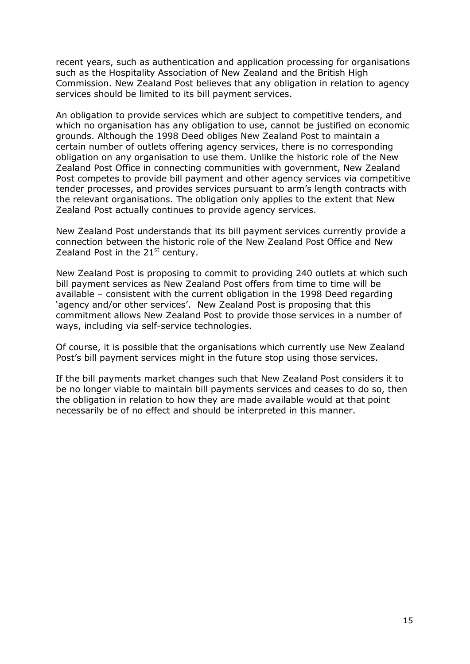recent years, such as authentication and application processing for organisations such as the Hospitality Association of New Zealand and the British High Commission. New Zealand Post believes that any obligation in relation to agency services should be limited to its bill payment services.

An obligation to provide services which are subject to competitive tenders, and which no organisation has any obligation to use, cannot be justified on economic grounds. Although the 1998 Deed obliges New Zealand Post to maintain a certain number of outlets offering agency services, there is no corresponding obligation on any organisation to use them. Unlike the historic role of the New Zealand Post Office in connecting communities with government, New Zealand Post competes to provide bill payment and other agency services via competitive tender processes, and provides services pursuant to arm's length contracts with the relevant organisations. The obligation only applies to the extent that New Zealand Post actually continues to provide agency services.

New Zealand Post understands that its bill payment services currently provide a connection between the historic role of the New Zealand Post Office and New Zealand Post in the  $21<sup>st</sup>$  century.

New Zealand Post is proposing to commit to providing 240 outlets at which such bill payment services as New Zealand Post offers from time to time will be available – consistent with the current obligation in the 1998 Deed regarding 'agency and/or other services'. New Zealand Post is proposing that this commitment allows New Zealand Post to provide those services in a number of ways, including via self-service technologies.

Of course, it is possible that the organisations which currently use New Zealand Post's bill payment services might in the future stop using those services.

If the bill payments market changes such that New Zealand Post considers it to be no longer viable to maintain bill payments services and ceases to do so, then the obligation in relation to how they are made available would at that point necessarily be of no effect and should be interpreted in this manner.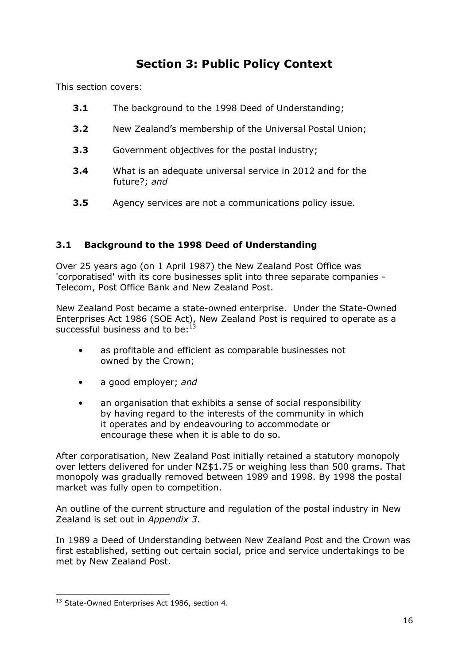# **Section 3: Public Policy Context**

This section covers:

- **3.1** The background to the 1998 Deed of Understanding;
- **3.2** New Zealand's membership of the Universal Postal Union;
- **3.3** Government objectives for the postal industry;
- **3.4** What is an adequate universal service in 2012 and for the future?; *and*
- **3.5** Agency services are not a communications policy issue.

## **3.1 Background to the 1998 Deed of Understanding**

Over 25 years ago (on 1 April 1987) the New Zealand Post Office was 'corporatised' with its core businesses split into three separate companies - Telecom, Post Office Bank and New Zealand Post.

New Zealand Post became a state-owned enterprise. Under the State-Owned Enterprises Act 1986 (SOE Act), New Zealand Post is required to operate as a successful business and to be: $<sup>1</sup>$ </sup>

- as profitable and efficient as comparable businesses not owned by the Crown;
- a good employer; *and*
- an organisation that exhibits a sense of social responsibility by having regard to the interests of the community in which it operates and by endeavouring to accommodate or encourage these when it is able to do so.

After corporatisation, New Zealand Post initially retained a statutory monopoly over letters delivered for under NZ\$1.75 or weighing less than 500 grams. That monopoly was gradually removed between 1989 and 1998. By 1998 the postal market was fully open to competition.

An outline of the current structure and regulation of the postal industry in New Zealand is set out in *Appendix 3*.

In 1989 a Deed of Understanding between New Zealand Post and the Crown was first established, setting out certain social, price and service undertakings to be met by New Zealand Post.

1

<sup>&</sup>lt;sup>13</sup> State-Owned Enterprises Act 1986, section 4.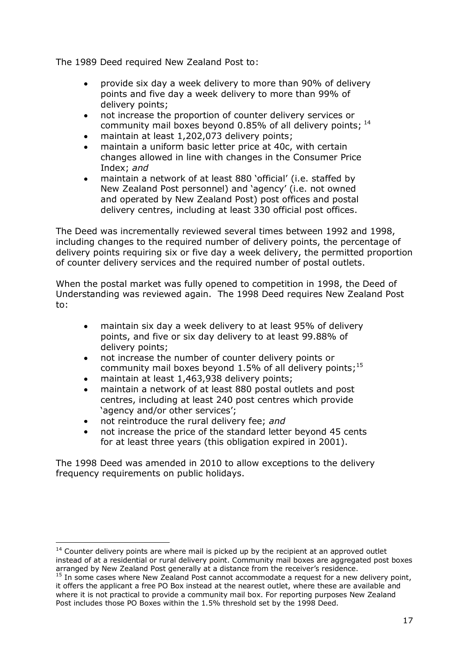The 1989 Deed required New Zealand Post to:

- provide six day a week delivery to more than 90% of delivery  $\bullet$ points and five day a week delivery to more than 99% of delivery points;
- not increase the proportion of counter delivery services or community mail boxes beyond 0.85% of all delivery points;  $^{14}$
- maintain at least 1,202,073 delivery points;
- maintain a uniform basic letter price at 40c, with certain changes allowed in line with changes in the Consumer Price Index; *and*
- maintain a network of at least 880 'official' (i.e. staffed by  $\bullet$ New Zealand Post personnel) and 'agency' (i.e. not owned and operated by New Zealand Post) post offices and postal delivery centres, including at least 330 official post offices.

The Deed was incrementally reviewed several times between 1992 and 1998, including changes to the required number of delivery points, the percentage of delivery points requiring six or five day a week delivery, the permitted proportion of counter delivery services and the required number of postal outlets.

When the postal market was fully opened to competition in 1998, the Deed of Understanding was reviewed again. The 1998 Deed requires New Zealand Post to:

- maintain six day a week delivery to at least 95% of delivery  $\bullet$ points, and five or six day delivery to at least 99.88% of delivery points;
- not increase the number of counter delivery points or  $\bullet$ community mail boxes beyond 1.5% of all delivery points;<sup>15</sup>
- maintain at least 1,463,938 delivery points;
- maintain a network of at least 880 postal outlets and post centres, including at least 240 post centres which provide 'agency and/or other services':
- not reintroduce the rural delivery fee; *and*  $\bullet$

1

not increase the price of the standard letter beyond 45 cents for at least three years (this obligation expired in 2001).

The 1998 Deed was amended in 2010 to allow exceptions to the delivery frequency requirements on public holidays.

 $14$  Counter delivery points are where mail is picked up by the recipient at an approved outlet instead of at a residential or rural delivery point. Community mail boxes are aggregated post boxes arranged by New Zealand Post generally at a distance from the receiver's residence.

 $15$  In some cases where New Zealand Post cannot accommodate a request for a new delivery point, it offers the applicant a free PO Box instead at the nearest outlet, where these are available and where it is not practical to provide a community mail box. For reporting purposes New Zealand Post includes those PO Boxes within the 1.5% threshold set by the 1998 Deed.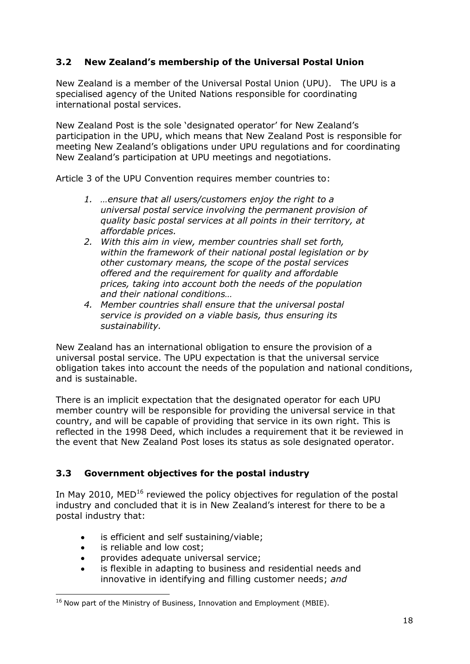## **3.2 New Zealand's membership of the Universal Postal Union**

New Zealand is a member of the Universal Postal Union (UPU). The UPU is a specialised agency of the United Nations responsible for coordinating international postal services.

New Zealand Post is the sole 'designated operator' for New Zealand's participation in the UPU, which means that New Zealand Post is responsible for meeting New Zealand's obligations under UPU regulations and for coordinating New Zealand's participation at UPU meetings and negotiations.

Article 3 of the UPU Convention requires member countries to:

- *1. …ensure that all users/customers enjoy the right to a universal postal service involving the permanent provision of quality basic postal services at all points in their territory, at affordable prices.*
- *2. With this aim in view, member countries shall set forth, within the framework of their national postal legislation or by other customary means, the scope of the postal services offered and the requirement for quality and affordable prices, taking into account both the needs of the population and their national conditions…*
- *4. Member countries shall ensure that the universal postal service is provided on a viable basis, thus ensuring its sustainability.*

New Zealand has an international obligation to ensure the provision of a universal postal service. The UPU expectation is that the universal service obligation takes into account the needs of the population and national conditions, and is sustainable.

There is an implicit expectation that the designated operator for each UPU member country will be responsible for providing the universal service in that country, and will be capable of providing that service in its own right. This is reflected in the 1998 Deed, which includes a requirement that it be reviewed in the event that New Zealand Post loses its status as sole designated operator.

## **3.3 Government objectives for the postal industry**

In May 2010, MED<sup>16</sup> reviewed the policy objectives for regulation of the postal industry and concluded that it is in New Zealand's interest for there to be a postal industry that:

- is efficient and self sustaining/viable;  $\bullet$
- is reliable and low cost;  $\bullet$

1

- provides adequate universal service;  $\bullet$
- is flexible in adapting to business and residential needs and innovative in identifying and filling customer needs; *and*

 $16$  Now part of the Ministry of Business, Innovation and Employment (MBIE).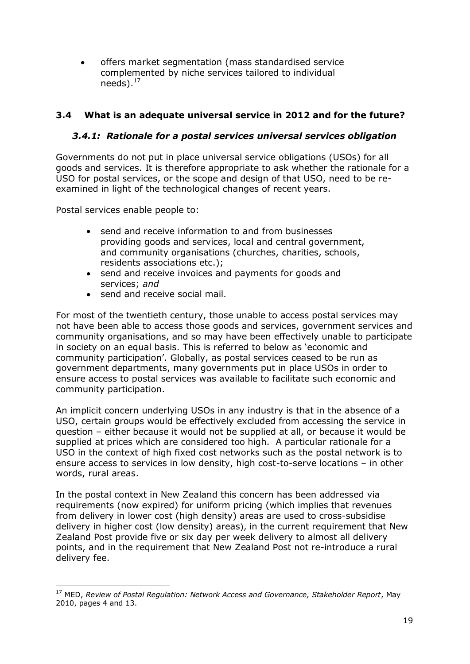offers market segmentation (mass standardised service complemented by niche services tailored to individual needs). $^{17}$ 

## **3.4 What is an adequate universal service in 2012 and for the future?**

## *3.4.1: Rationale for a postal services universal services obligation*

Governments do not put in place universal service obligations (USOs) for all goods and services. It is therefore appropriate to ask whether the rationale for a USO for postal services, or the scope and design of that USO, need to be reexamined in light of the technological changes of recent years.

Postal services enable people to:

- send and receive information to and from businesses providing goods and services, local and central government, and community organisations (churches, charities, schools, residents associations etc.);
- send and receive invoices and payments for goods and services; *and*
- send and receive social mail.

For most of the twentieth century, those unable to access postal services may not have been able to access those goods and services, government services and community organisations, and so may have been effectively unable to participate in society on an equal basis. This is referred to below as 'economic and community participation'. Globally, as postal services ceased to be run as government departments, many governments put in place USOs in order to ensure access to postal services was available to facilitate such economic and community participation.

An implicit concern underlying USOs in any industry is that in the absence of a USO, certain groups would be effectively excluded from accessing the service in question – either because it would not be supplied at all, or because it would be supplied at prices which are considered too high. A particular rationale for a USO in the context of high fixed cost networks such as the postal network is to ensure access to services in low density, high cost-to-serve locations – in other words, rural areas.

In the postal context in New Zealand this concern has been addressed via requirements (now expired) for uniform pricing (which implies that revenues from delivery in lower cost (high density) areas are used to cross-subsidise delivery in higher cost (low density) areas), in the current requirement that New Zealand Post provide five or six day per week delivery to almost all delivery points, and in the requirement that New Zealand Post not re-introduce a rural delivery fee.

<sup>1</sup> <sup>17</sup> MED, *Review of Postal Regulation: Network Access and Governance, Stakeholder Report*, May 2010, pages 4 and 13.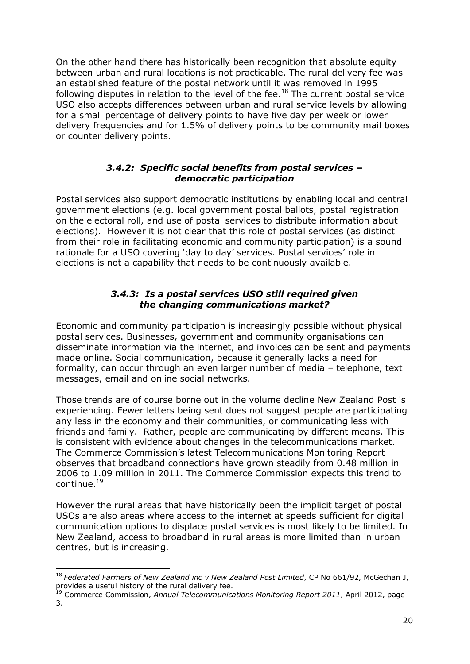On the other hand there has historically been recognition that absolute equity between urban and rural locations is not practicable. The rural delivery fee was an established feature of the postal network until it was removed in 1995 following disputes in relation to the level of the fee.<sup>18</sup> The current postal service USO also accepts differences between urban and rural service levels by allowing for a small percentage of delivery points to have five day per week or lower delivery frequencies and for 1.5% of delivery points to be community mail boxes or counter delivery points.

## *3.4.2: Specific social benefits from postal services – democratic participation*

Postal services also support democratic institutions by enabling local and central government elections (e.g. local government postal ballots, postal registration on the electoral roll, and use of postal services to distribute information about elections). However it is not clear that this role of postal services (as distinct from their role in facilitating economic and community participation) is a sound rationale for a USO covering 'day to day' services. Postal services' role in elections is not a capability that needs to be continuously available.

## *3.4.3: Is a postal services USO still required given the changing communications market?*

Economic and community participation is increasingly possible without physical postal services. Businesses, government and community organisations can disseminate information via the internet, and invoices can be sent and payments made online. Social communication, because it generally lacks a need for formality, can occur through an even larger number of media – telephone, text messages, email and online social networks.

Those trends are of course borne out in the volume decline New Zealand Post is experiencing. Fewer letters being sent does not suggest people are participating any less in the economy and their communities, or communicating less with friends and family. Rather, people are communicating by different means. This is consistent with evidence about changes in the telecommunications market. The Commerce Commission's latest Telecommunications Monitoring Report observes that broadband connections have grown steadily from 0.48 million in 2006 to 1.09 million in 2011. The Commerce Commission expects this trend to continue.<sup>19</sup>

However the rural areas that have historically been the implicit target of postal USOs are also areas where access to the internet at speeds sufficient for digital communication options to displace postal services is most likely to be limited. In New Zealand, access to broadband in rural areas is more limited than in urban centres, but is increasing.

1

<sup>&</sup>lt;sup>18</sup> Federated Farmers of New Zealand inc v New Zealand Post Limited, CP No 661/92, McGechan J, provides a useful history of the rural delivery fee.

<sup>19</sup> Commerce Commission, *Annual Telecommunications Monitoring Report 2011*, April 2012, page 3.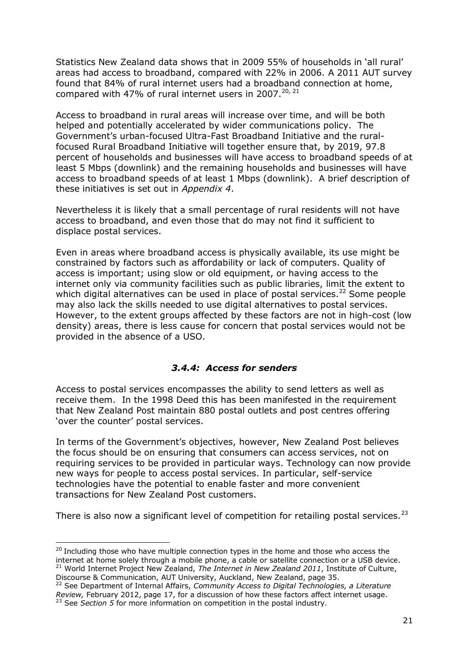Statistics New Zealand data shows that in 2009 55% of households in 'all rural' areas had access to broadband, compared with 22% in 2006. A 2011 AUT survey found that 84% of rural internet users had a broadband connection at home, compared with 47% of rural internet users in 2007. $^{20, 21}$ 

Access to broadband in rural areas will increase over time, and will be both helped and potentially accelerated by wider communications policy. The Government's urban-focused Ultra-Fast Broadband Initiative and the ruralfocused Rural Broadband Initiative will together ensure that, by 2019, 97.8 percent of households and businesses will have access to broadband speeds of at least 5 Mbps (downlink) and the remaining households and businesses will have access to broadband speeds of at least 1 Mbps (downlink). A brief description of these initiatives is set out in *Appendix 4*.

Nevertheless it is likely that a small percentage of rural residents will not have access to broadband, and even those that do may not find it sufficient to displace postal services.

Even in areas where broadband access is physically available, its use might be constrained by factors such as affordability or lack of computers. Quality of access is important; using slow or old equipment, or having access to the internet only via community facilities such as public libraries, limit the extent to which digital alternatives can be used in place of postal services.<sup>22</sup> Some people may also lack the skills needed to use digital alternatives to postal services. However, to the extent groups affected by these factors are not in high-cost (low density) areas, there is less cause for concern that postal services would not be provided in the absence of a USO.

## *3.4.4: Access for senders*

Access to postal services encompasses the ability to send letters as well as receive them. In the 1998 Deed this has been manifested in the requirement that New Zealand Post maintain 880 postal outlets and post centres offering 'over the counter' postal services.

In terms of the Government's objectives, however, New Zealand Post believes the focus should be on ensuring that consumers can access services, not on requiring services to be provided in particular ways. Technology can now provide new ways for people to access postal services. In particular, self-service technologies have the potential to enable faster and more convenient transactions for New Zealand Post customers.

There is also now a significant level of competition for retailing postal services.<sup>23</sup>

<sup>1</sup>  $20$  Including those who have multiple connection types in the home and those who access the internet at home solely through a mobile phone, a cable or satellite connection or a USB device. <sup>21</sup> World Internet Project New Zealand, The Internet in New Zealand 2011, Institute of Culture, Discourse & Communication, AUT University, Auckland, New Zealand, page 35.

<sup>22</sup> See Department of Internal Affairs, *Community Access to Digital Technologies, a Literature Review,* February 2012, page 17, for a discussion of how these factors affect internet usage. <sup>23</sup> See *Section 5* for more information on competition in the postal industry.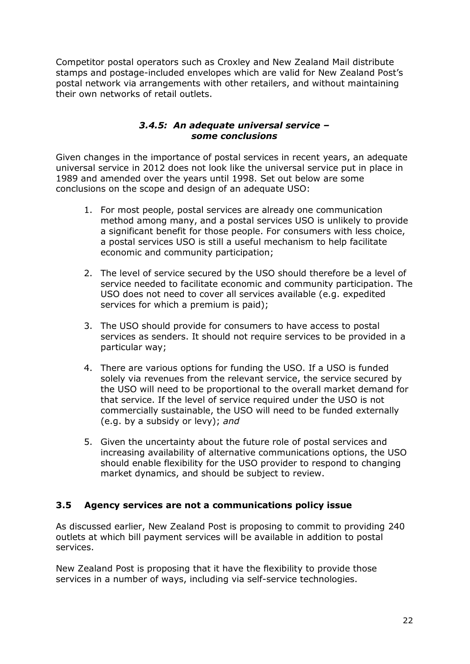Competitor postal operators such as Croxley and New Zealand Mail distribute stamps and postage-included envelopes which are valid for New Zealand Post's postal network via arrangements with other retailers, and without maintaining their own networks of retail outlets.

## *3.4.5: An adequate universal service – some conclusions*

Given changes in the importance of postal services in recent years, an adequate universal service in 2012 does not look like the universal service put in place in 1989 and amended over the years until 1998. Set out below are some conclusions on the scope and design of an adequate USO:

- 1. For most people, postal services are already one communication method among many, and a postal services USO is unlikely to provide a significant benefit for those people. For consumers with less choice, a postal services USO is still a useful mechanism to help facilitate economic and community participation;
- 2. The level of service secured by the USO should therefore be a level of service needed to facilitate economic and community participation. The USO does not need to cover all services available (e.g. expedited services for which a premium is paid);
- 3. The USO should provide for consumers to have access to postal services as senders. It should not require services to be provided in a particular way;
- 4. There are various options for funding the USO. If a USO is funded solely via revenues from the relevant service, the service secured by the USO will need to be proportional to the overall market demand for that service. If the level of service required under the USO is not commercially sustainable, the USO will need to be funded externally (e.g. by a subsidy or levy); *and*
- 5. Given the uncertainty about the future role of postal services and increasing availability of alternative communications options, the USO should enable flexibility for the USO provider to respond to changing market dynamics, and should be subject to review.

## **3.5 Agency services are not a communications policy issue**

As discussed earlier, New Zealand Post is proposing to commit to providing 240 outlets at which bill payment services will be available in addition to postal services.

New Zealand Post is proposing that it have the flexibility to provide those services in a number of ways, including via self-service technologies.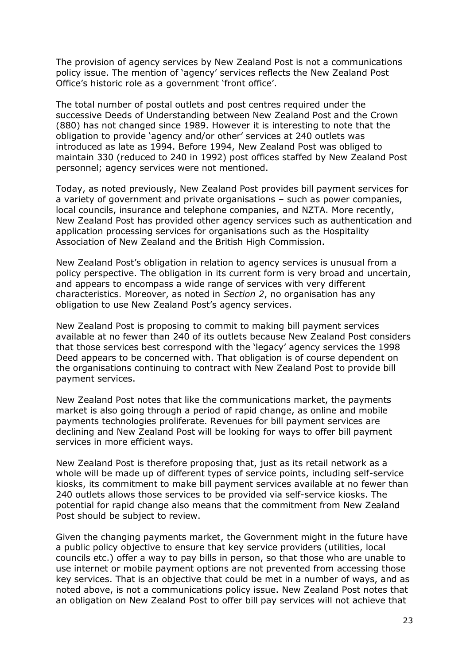The provision of agency services by New Zealand Post is not a communications policy issue. The mention of 'agency' services reflects the New Zealand Post Office's historic role as a government 'front office'.

The total number of postal outlets and post centres required under the successive Deeds of Understanding between New Zealand Post and the Crown (880) has not changed since 1989. However it is interesting to note that the obligation to provide 'agency and/or other' services at 240 outlets was introduced as late as 1994. Before 1994, New Zealand Post was obliged to maintain 330 (reduced to 240 in 1992) post offices staffed by New Zealand Post personnel; agency services were not mentioned.

Today, as noted previously, New Zealand Post provides bill payment services for a variety of government and private organisations – such as power companies, local councils, insurance and telephone companies, and NZTA. More recently, New Zealand Post has provided other agency services such as authentication and application processing services for organisations such as the Hospitality Association of New Zealand and the British High Commission.

New Zealand Post's obligation in relation to agency services is unusual from a policy perspective. The obligation in its current form is very broad and uncertain, and appears to encompass a wide range of services with very different characteristics. Moreover, as noted in *Section 2*, no organisation has any obligation to use New Zealand Post's agency services.

New Zealand Post is proposing to commit to making bill payment services available at no fewer than 240 of its outlets because New Zealand Post considers that those services best correspond with the 'legacy' agency services the 1998 Deed appears to be concerned with. That obligation is of course dependent on the organisations continuing to contract with New Zealand Post to provide bill payment services.

New Zealand Post notes that like the communications market, the payments market is also going through a period of rapid change, as online and mobile payments technologies proliferate. Revenues for bill payment services are declining and New Zealand Post will be looking for ways to offer bill payment services in more efficient ways.

New Zealand Post is therefore proposing that, just as its retail network as a whole will be made up of different types of service points, including self-service kiosks, its commitment to make bill payment services available at no fewer than 240 outlets allows those services to be provided via self-service kiosks. The potential for rapid change also means that the commitment from New Zealand Post should be subject to review.

Given the changing payments market, the Government might in the future have a public policy objective to ensure that key service providers (utilities, local councils etc.) offer a way to pay bills in person, so that those who are unable to use internet or mobile payment options are not prevented from accessing those key services. That is an objective that could be met in a number of ways, and as noted above, is not a communications policy issue. New Zealand Post notes that an obligation on New Zealand Post to offer bill pay services will not achieve that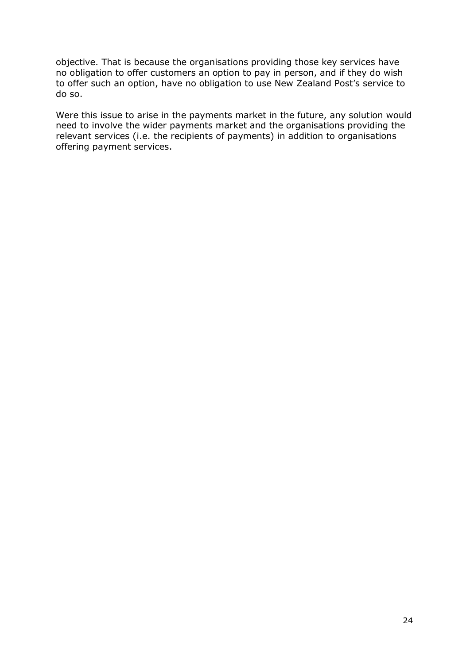objective. That is because the organisations providing those key services have no obligation to offer customers an option to pay in person, and if they do wish to offer such an option, have no obligation to use New Zealand Post's service to do so.

Were this issue to arise in the payments market in the future, any solution would need to involve the wider payments market and the organisations providing the relevant services (i.e. the recipients of payments) in addition to organisations offering payment services.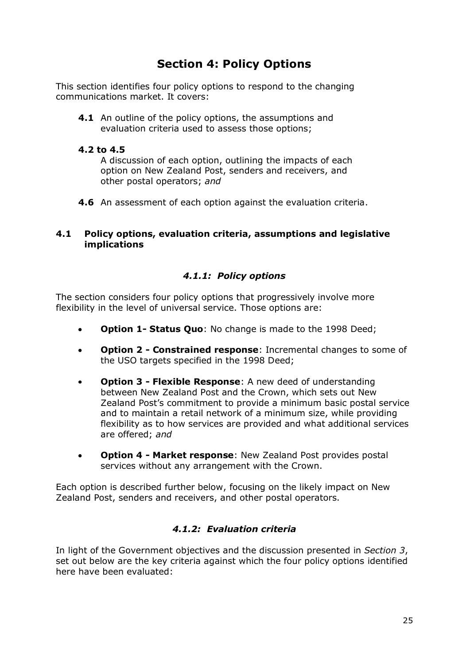# **Section 4: Policy Options**

This section identifies four policy options to respond to the changing communications market. It covers:

**4.1** An outline of the policy options, the assumptions and evaluation criteria used to assess those options;

## **4.2 to 4.5**

A discussion of each option, outlining the impacts of each option on New Zealand Post, senders and receivers, and other postal operators; *and*

**4.6** An assessment of each option against the evaluation criteria.

## **4.1 Policy options, evaluation criteria, assumptions and legislative implications**

## *4.1.1: Policy options*

The section considers four policy options that progressively involve more flexibility in the level of universal service. Those options are:

- **Option 1- Status Quo**: No change is made to the 1998 Deed;  $\bullet$
- **Option 2 - Constrained response**: Incremental changes to some of the USO targets specified in the 1998 Deed;
- **Option 3 - Flexible Response**: A new deed of understanding between New Zealand Post and the Crown, which sets out New Zealand Post's commitment to provide a minimum basic postal service and to maintain a retail network of a minimum size, while providing flexibility as to how services are provided and what additional services are offered; *and*
- **Option 4 - Market response**: New Zealand Post provides postal  $\bullet$ services without any arrangement with the Crown.

Each option is described further below, focusing on the likely impact on New Zealand Post, senders and receivers, and other postal operators.

## *4.1.2: Evaluation criteria*

In light of the Government objectives and the discussion presented in *Section 3*, set out below are the key criteria against which the four policy options identified here have been evaluated: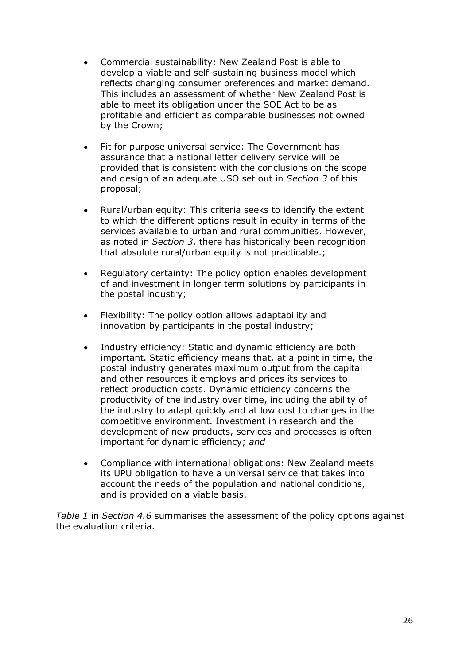- Commercial sustainability: New Zealand Post is able to  $\bullet$ develop a viable and self-sustaining business model which reflects changing consumer preferences and market demand. This includes an assessment of whether New Zealand Post is able to meet its obligation under the SOE Act to be as profitable and efficient as comparable businesses not owned by the Crown;
- Fit for purpose universal service: The Government has  $\bullet$ assurance that a national letter delivery service will be provided that is consistent with the conclusions on the scope and design of an adequate USO set out in *Section 3* of this proposal;
- Rural/urban equity: This criteria seeks to identify the extent to which the different options result in equity in terms of the services available to urban and rural communities. However, as noted in *Section 3*, there has historically been recognition that absolute rural/urban equity is not practicable.;
- Regulatory certainty: The policy option enables development  $\bullet$ of and investment in longer term solutions by participants in the postal industry;
- Flexibility: The policy option allows adaptability and  $\bullet$ innovation by participants in the postal industry;
- Industry efficiency: Static and dynamic efficiency are both  $\bullet$ important. Static efficiency means that, at a point in time, the postal industry generates maximum output from the capital and other resources it employs and prices its services to reflect production costs. Dynamic efficiency concerns the productivity of the industry over time, including the ability of the industry to adapt quickly and at low cost to changes in the competitive environment. Investment in research and the development of new products, services and processes is often important for dynamic efficiency; *and*
- Compliance with international obligations: New Zealand meets  $\bullet$ its UPU obligation to have a universal service that takes into account the needs of the population and national conditions, and is provided on a viable basis.

*Table 1* in *Section 4.6* summarises the assessment of the policy options against the evaluation criteria.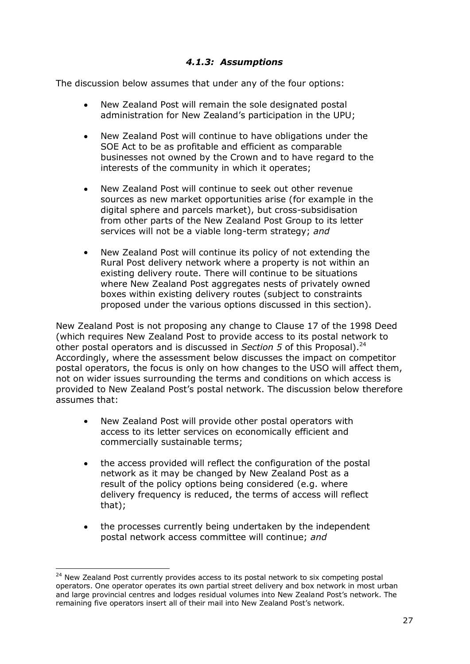## *4.1.3: Assumptions*

The discussion below assumes that under any of the four options:

- New Zealand Post will remain the sole designated postal administration for New Zealand's participation in the UPU;
- New Zealand Post will continue to have obligations under the  $\bullet$ SOE Act to be as profitable and efficient as comparable businesses not owned by the Crown and to have regard to the interests of the community in which it operates;
- New Zealand Post will continue to seek out other revenue sources as new market opportunities arise (for example in the digital sphere and parcels market), but cross-subsidisation from other parts of the New Zealand Post Group to its letter services will not be a viable long-term strategy; *and*
- New Zealand Post will continue its policy of not extending the Rural Post delivery network where a property is not within an existing delivery route. There will continue to be situations where New Zealand Post aggregates nests of privately owned boxes within existing delivery routes (subject to constraints proposed under the various options discussed in this section).

New Zealand Post is not proposing any change to Clause 17 of the 1998 Deed (which requires New Zealand Post to provide access to its postal network to other postal operators and is discussed in *Section 5* of this Proposal). 24 Accordingly, where the assessment below discusses the impact on competitor postal operators, the focus is only on how changes to the USO will affect them, not on wider issues surrounding the terms and conditions on which access is provided to New Zealand Post's postal network. The discussion below therefore assumes that:

- New Zealand Post will provide other postal operators with  $\bullet$ access to its letter services on economically efficient and commercially sustainable terms;
- the access provided will reflect the configuration of the postal  $\bullet$ network as it may be changed by New Zealand Post as a result of the policy options being considered (e.g. where delivery frequency is reduced, the terms of access will reflect that);
- the processes currently being undertaken by the independent postal network access committee will continue; *and*

1

<sup>&</sup>lt;sup>24</sup> New Zealand Post currently provides access to its postal network to six competing postal operators. One operator operates its own partial street delivery and box network in most urban and large provincial centres and lodges residual volumes into New Zealand Post's network. The remaining five operators insert all of their mail into New Zealand Post's network.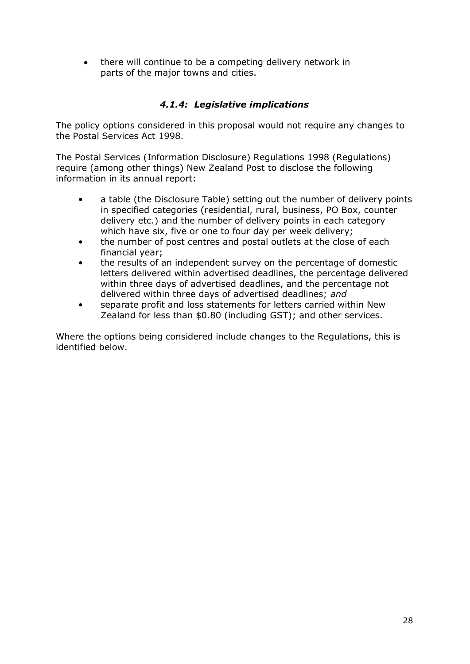• there will continue to be a competing delivery network in parts of the major towns and cities.

## *4.1.4: Legislative implications*

The policy options considered in this proposal would not require any changes to the Postal Services Act 1998.

The Postal Services (Information Disclosure) Regulations 1998 (Regulations) require (among other things) New Zealand Post to disclose the following information in its annual report:

- a table (the Disclosure Table) setting out the number of delivery points in specified categories (residential, rural, business, PO Box, counter delivery etc.) and the number of delivery points in each category which have six, five or one to four day per week delivery;
- the number of post centres and postal outlets at the close of each financial year;
- the results of an independent survey on the percentage of domestic letters delivered within advertised deadlines, the percentage delivered within three days of advertised deadlines, and the percentage not delivered within three days of advertised deadlines; *and*
- separate profit and loss statements for letters carried within New Zealand for less than \$0.80 (including GST); and other services.

Where the options being considered include changes to the Regulations, this is identified below.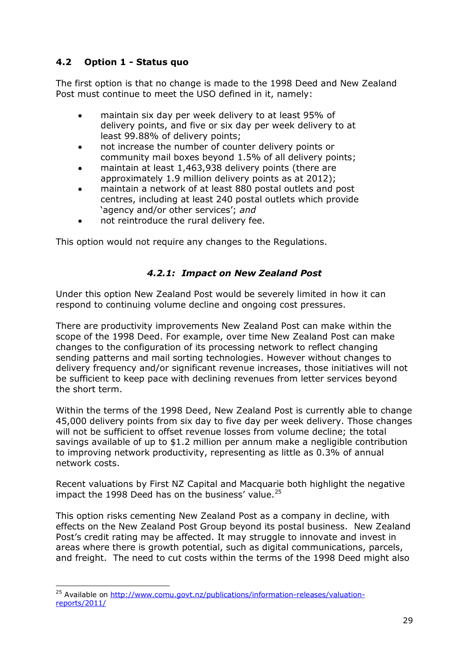## **4.2 Option 1 - Status quo**

The first option is that no change is made to the 1998 Deed and New Zealand Post must continue to meet the USO defined in it, namely:

- maintain six day per week delivery to at least 95% of delivery points, and five or six day per week delivery to at least 99.88% of delivery points;
- not increase the number of counter delivery points or community mail boxes beyond 1.5% of all delivery points;
- maintain at least 1,463,938 delivery points (there are approximately 1.9 million delivery points as at 2012);
- maintain a network of at least 880 postal outlets and post centres, including at least 240 postal outlets which provide ‗agency and/or other services'; *and*
- not reintroduce the rural delivery fee.

This option would not require any changes to the Regulations.

## *4.2.1: Impact on New Zealand Post*

Under this option New Zealand Post would be severely limited in how it can respond to continuing volume decline and ongoing cost pressures.

There are productivity improvements New Zealand Post can make within the scope of the 1998 Deed. For example, over time New Zealand Post can make changes to the configuration of its processing network to reflect changing sending patterns and mail sorting technologies. However without changes to delivery frequency and/or significant revenue increases, those initiatives will not be sufficient to keep pace with declining revenues from letter services beyond the short term.

Within the terms of the 1998 Deed, New Zealand Post is currently able to change 45,000 delivery points from six day to five day per week delivery. Those changes will not be sufficient to offset revenue losses from volume decline; the total savings available of up to \$1.2 million per annum make a negligible contribution to improving network productivity, representing as little as 0.3% of annual network costs.

Recent valuations by First NZ Capital and Macquarie both highlight the negative impact the 1998 Deed has on the business' value. $^{25}$ 

This option risks cementing New Zealand Post as a company in decline, with effects on the New Zealand Post Group beyond its postal business. New Zealand Post's credit rating may be affected. It may struggle to innovate and invest in areas where there is growth potential, such as digital communications, parcels, and freight. The need to cut costs within the terms of the 1998 Deed might also

<sup>1</sup> <sup>25</sup> Available on [http://www.comu.govt.nz/publications/information-releases/valuation](http://www.comu.govt.nz/publications/information-releases/valuation-reports/2011/)[reports/2011/](http://www.comu.govt.nz/publications/information-releases/valuation-reports/2011/)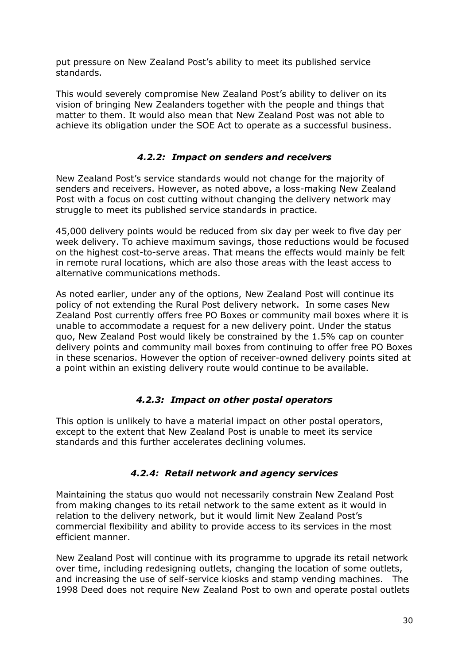put pressure on New Zealand Post's ability to meet its published service standards.

This would severely compromise New Zealand Post's ability to deliver on its vision of bringing New Zealanders together with the people and things that matter to them. It would also mean that New Zealand Post was not able to achieve its obligation under the SOE Act to operate as a successful business.

## *4.2.2: Impact on senders and receivers*

New Zealand Post's service standards would not change for the majority of senders and receivers. However, as noted above, a loss-making New Zealand Post with a focus on cost cutting without changing the delivery network may struggle to meet its published service standards in practice.

45,000 delivery points would be reduced from six day per week to five day per week delivery. To achieve maximum savings, those reductions would be focused on the highest cost-to-serve areas. That means the effects would mainly be felt in remote rural locations, which are also those areas with the least access to alternative communications methods.

As noted earlier, under any of the options, New Zealand Post will continue its policy of not extending the Rural Post delivery network. In some cases New Zealand Post currently offers free PO Boxes or community mail boxes where it is unable to accommodate a request for a new delivery point. Under the status quo, New Zealand Post would likely be constrained by the 1.5% cap on counter delivery points and community mail boxes from continuing to offer free PO Boxes in these scenarios. However the option of receiver-owned delivery points sited at a point within an existing delivery route would continue to be available.

## *4.2.3: Impact on other postal operators*

This option is unlikely to have a material impact on other postal operators, except to the extent that New Zealand Post is unable to meet its service standards and this further accelerates declining volumes.

## *4.2.4: Retail network and agency services*

Maintaining the status quo would not necessarily constrain New Zealand Post from making changes to its retail network to the same extent as it would in relation to the delivery network, but it would limit New Zealand Post's commercial flexibility and ability to provide access to its services in the most efficient manner.

New Zealand Post will continue with its programme to upgrade its retail network over time, including redesigning outlets, changing the location of some outlets, and increasing the use of self-service kiosks and stamp vending machines. The 1998 Deed does not require New Zealand Post to own and operate postal outlets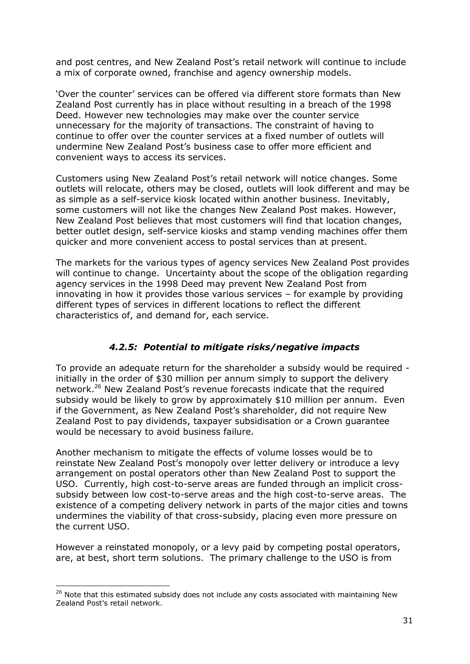and post centres, and New Zealand Post's retail network will continue to include a mix of corporate owned, franchise and agency ownership models.

‗Over the counter' services can be offered via different store formats than New Zealand Post currently has in place without resulting in a breach of the 1998 Deed. However new technologies may make over the counter service unnecessary for the majority of transactions. The constraint of having to continue to offer over the counter services at a fixed number of outlets will undermine New Zealand Post's business case to offer more efficient and convenient ways to access its services.

Customers using New Zealand Post's retail network will notice changes. Some outlets will relocate, others may be closed, outlets will look different and may be as simple as a self-service kiosk located within another business. Inevitably, some customers will not like the changes New Zealand Post makes. However, New Zealand Post believes that most customers will find that location changes, better outlet design, self-service kiosks and stamp vending machines offer them quicker and more convenient access to postal services than at present.

The markets for the various types of agency services New Zealand Post provides will continue to change. Uncertainty about the scope of the obligation regarding agency services in the 1998 Deed may prevent New Zealand Post from innovating in how it provides those various services – for example by providing different types of services in different locations to reflect the different characteristics of, and demand for, each service.

## *4.2.5: Potential to mitigate risks/negative impacts*

To provide an adequate return for the shareholder a subsidy would be required initially in the order of \$30 million per annum simply to support the delivery network.<sup>26</sup> New Zealand Post's revenue forecasts indicate that the required subsidy would be likely to grow by approximately \$10 million per annum. Even if the Government, as New Zealand Post's shareholder, did not require New Zealand Post to pay dividends, taxpayer subsidisation or a Crown guarantee would be necessary to avoid business failure.

Another mechanism to mitigate the effects of volume losses would be to reinstate New Zealand Post's monopoly over letter delivery or introduce a levy arrangement on postal operators other than New Zealand Post to support the USO. Currently, high cost-to-serve areas are funded through an implicit crosssubsidy between low cost-to-serve areas and the high cost-to-serve areas. The existence of a competing delivery network in parts of the major cities and towns undermines the viability of that cross-subsidy, placing even more pressure on the current USO.

However a reinstated monopoly, or a levy paid by competing postal operators, are, at best, short term solutions. The primary challenge to the USO is from

1

<sup>&</sup>lt;sup>26</sup> Note that this estimated subsidy does not include any costs associated with maintaining New Zealand Post's retail network.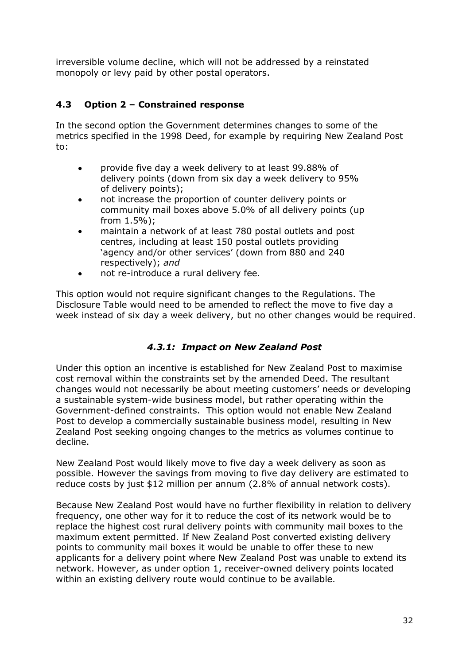irreversible volume decline, which will not be addressed by a reinstated monopoly or levy paid by other postal operators.

## **4.3 Option 2 – Constrained response**

In the second option the Government determines changes to some of the metrics specified in the 1998 Deed, for example by requiring New Zealand Post to:

- provide five day a week delivery to at least 99.88% of  $\bullet$ delivery points (down from six day a week delivery to 95% of delivery points);
- not increase the proportion of counter delivery points or community mail boxes above 5.0% of all delivery points (up from 1.5%);
- maintain a network of at least 780 postal outlets and post centres, including at least 150 postal outlets providing 'agency and/or other services' (down from 880 and 240 respectively); *and*
- not re-introduce a rural delivery fee.  $\bullet$

This option would not require significant changes to the Regulations. The Disclosure Table would need to be amended to reflect the move to five day a week instead of six day a week delivery, but no other changes would be required.

## *4.3.1: Impact on New Zealand Post*

Under this option an incentive is established for New Zealand Post to maximise cost removal within the constraints set by the amended Deed. The resultant changes would not necessarily be about meeting customers' needs or developing a sustainable system-wide business model, but rather operating within the Government-defined constraints. This option would not enable New Zealand Post to develop a commercially sustainable business model, resulting in New Zealand Post seeking ongoing changes to the metrics as volumes continue to decline.

New Zealand Post would likely move to five day a week delivery as soon as possible. However the savings from moving to five day delivery are estimated to reduce costs by just \$12 million per annum (2.8% of annual network costs).

Because New Zealand Post would have no further flexibility in relation to delivery frequency, one other way for it to reduce the cost of its network would be to replace the highest cost rural delivery points with community mail boxes to the maximum extent permitted. If New Zealand Post converted existing delivery points to community mail boxes it would be unable to offer these to new applicants for a delivery point where New Zealand Post was unable to extend its network. However, as under option 1, receiver-owned delivery points located within an existing delivery route would continue to be available.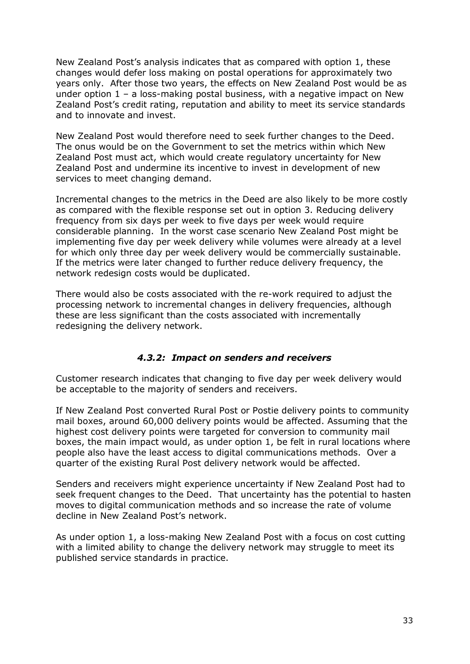New Zealand Post's analysis indicates that as compared with option 1, these changes would defer loss making on postal operations for approximately two years only. After those two years, the effects on New Zealand Post would be as under option  $1 - a$  loss-making postal business, with a negative impact on New Zealand Post's credit rating, reputation and ability to meet its service standards and to innovate and invest.

New Zealand Post would therefore need to seek further changes to the Deed. The onus would be on the Government to set the metrics within which New Zealand Post must act, which would create regulatory uncertainty for New Zealand Post and undermine its incentive to invest in development of new services to meet changing demand.

Incremental changes to the metrics in the Deed are also likely to be more costly as compared with the flexible response set out in option 3. Reducing delivery frequency from six days per week to five days per week would require considerable planning. In the worst case scenario New Zealand Post might be implementing five day per week delivery while volumes were already at a level for which only three day per week delivery would be commercially sustainable. If the metrics were later changed to further reduce delivery frequency, the network redesign costs would be duplicated.

There would also be costs associated with the re-work required to adjust the processing network to incremental changes in delivery frequencies, although these are less significant than the costs associated with incrementally redesigning the delivery network.

## *4.3.2: Impact on senders and receivers*

Customer research indicates that changing to five day per week delivery would be acceptable to the majority of senders and receivers.

If New Zealand Post converted Rural Post or Postie delivery points to community mail boxes, around 60,000 delivery points would be affected. Assuming that the highest cost delivery points were targeted for conversion to community mail boxes, the main impact would, as under option 1, be felt in rural locations where people also have the least access to digital communications methods. Over a quarter of the existing Rural Post delivery network would be affected.

Senders and receivers might experience uncertainty if New Zealand Post had to seek frequent changes to the Deed. That uncertainty has the potential to hasten moves to digital communication methods and so increase the rate of volume decline in New Zealand Post's network.

As under option 1, a loss-making New Zealand Post with a focus on cost cutting with a limited ability to change the delivery network may struggle to meet its published service standards in practice.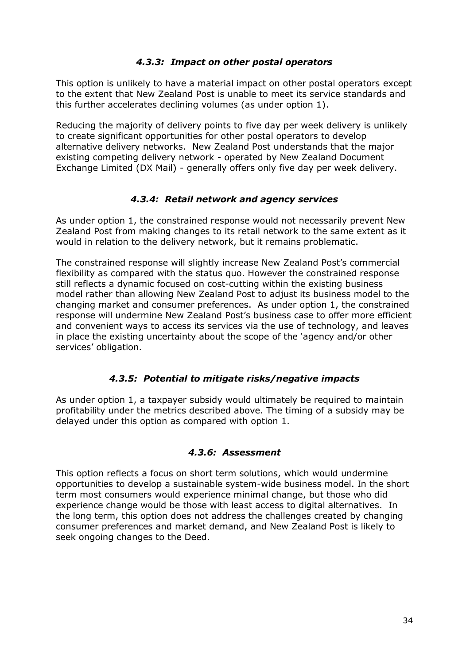## *4.3.3: Impact on other postal operators*

This option is unlikely to have a material impact on other postal operators except to the extent that New Zealand Post is unable to meet its service standards and this further accelerates declining volumes (as under option 1).

Reducing the majority of delivery points to five day per week delivery is unlikely to create significant opportunities for other postal operators to develop alternative delivery networks. New Zealand Post understands that the major existing competing delivery network - operated by New Zealand Document Exchange Limited (DX Mail) - generally offers only five day per week delivery.

## *4.3.4: Retail network and agency services*

As under option 1, the constrained response would not necessarily prevent New Zealand Post from making changes to its retail network to the same extent as it would in relation to the delivery network, but it remains problematic.

The constrained response will slightly increase New Zealand Post's commercial flexibility as compared with the status quo. However the constrained response still reflects a dynamic focused on cost-cutting within the existing business model rather than allowing New Zealand Post to adjust its business model to the changing market and consumer preferences. As under option 1, the constrained response will undermine New Zealand Post's business case to offer more efficient and convenient ways to access its services via the use of technology, and leaves in place the existing uncertainty about the scope of the 'agency and/or other services' obligation.

## *4.3.5: Potential to mitigate risks/negative impacts*

As under option 1, a taxpayer subsidy would ultimately be required to maintain profitability under the metrics described above. The timing of a subsidy may be delayed under this option as compared with option 1.

## *4.3.6: Assessment*

This option reflects a focus on short term solutions, which would undermine opportunities to develop a sustainable system-wide business model. In the short term most consumers would experience minimal change, but those who did experience change would be those with least access to digital alternatives. In the long term, this option does not address the challenges created by changing consumer preferences and market demand, and New Zealand Post is likely to seek ongoing changes to the Deed.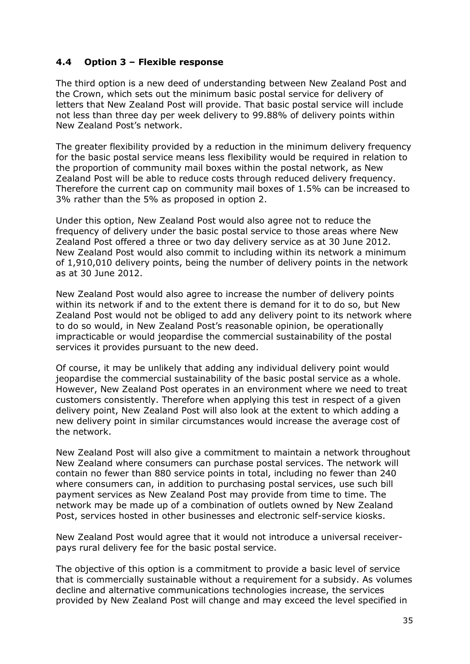## **4.4 Option 3 – Flexible response**

The third option is a new deed of understanding between New Zealand Post and the Crown, which sets out the minimum basic postal service for delivery of letters that New Zealand Post will provide. That basic postal service will include not less than three day per week delivery to 99.88% of delivery points within New Zealand Post's network.

The greater flexibility provided by a reduction in the minimum delivery frequency for the basic postal service means less flexibility would be required in relation to the proportion of community mail boxes within the postal network, as New Zealand Post will be able to reduce costs through reduced delivery frequency. Therefore the current cap on community mail boxes of 1.5% can be increased to 3% rather than the 5% as proposed in option 2.

Under this option, New Zealand Post would also agree not to reduce the frequency of delivery under the basic postal service to those areas where New Zealand Post offered a three or two day delivery service as at 30 June 2012. New Zealand Post would also commit to including within its network a minimum of 1,910,010 delivery points, being the number of delivery points in the network as at 30 June 2012.

New Zealand Post would also agree to increase the number of delivery points within its network if and to the extent there is demand for it to do so, but New Zealand Post would not be obliged to add any delivery point to its network where to do so would, in New Zealand Post's reasonable opinion, be operationally impracticable or would jeopardise the commercial sustainability of the postal services it provides pursuant to the new deed.

Of course, it may be unlikely that adding any individual delivery point would jeopardise the commercial sustainability of the basic postal service as a whole. However, New Zealand Post operates in an environment where we need to treat customers consistently. Therefore when applying this test in respect of a given delivery point, New Zealand Post will also look at the extent to which adding a new delivery point in similar circumstances would increase the average cost of the network.

New Zealand Post will also give a commitment to maintain a network throughout New Zealand where consumers can purchase postal services. The network will contain no fewer than 880 service points in total, including no fewer than 240 where consumers can, in addition to purchasing postal services, use such bill payment services as New Zealand Post may provide from time to time. The network may be made up of a combination of outlets owned by New Zealand Post, services hosted in other businesses and electronic self-service kiosks.

New Zealand Post would agree that it would not introduce a universal receiverpays rural delivery fee for the basic postal service.

The objective of this option is a commitment to provide a basic level of service that is commercially sustainable without a requirement for a subsidy. As volumes decline and alternative communications technologies increase, the services provided by New Zealand Post will change and may exceed the level specified in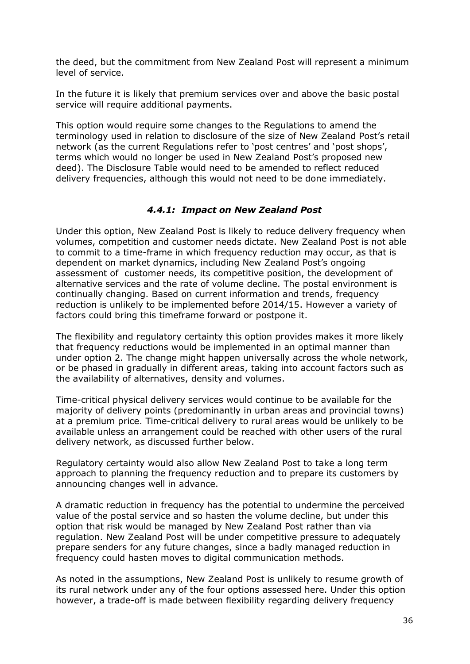the deed, but the commitment from New Zealand Post will represent a minimum level of service.

In the future it is likely that premium services over and above the basic postal service will require additional payments.

This option would require some changes to the Regulations to amend the terminology used in relation to disclosure of the size of New Zealand Post's retail network (as the current Regulations refer to 'post centres' and 'post shops', terms which would no longer be used in New Zealand Post's proposed new deed). The Disclosure Table would need to be amended to reflect reduced delivery frequencies, although this would not need to be done immediately.

## *4.4.1: Impact on New Zealand Post*

Under this option, New Zealand Post is likely to reduce delivery frequency when volumes, competition and customer needs dictate. New Zealand Post is not able to commit to a time-frame in which frequency reduction may occur, as that is dependent on market dynamics, including New Zealand Post's ongoing assessment of customer needs, its competitive position, the development of alternative services and the rate of volume decline. The postal environment is continually changing. Based on current information and trends, frequency reduction is unlikely to be implemented before 2014/15. However a variety of factors could bring this timeframe forward or postpone it.

The flexibility and regulatory certainty this option provides makes it more likely that frequency reductions would be implemented in an optimal manner than under option 2. The change might happen universally across the whole network, or be phased in gradually in different areas, taking into account factors such as the availability of alternatives, density and volumes.

Time-critical physical delivery services would continue to be available for the majority of delivery points (predominantly in urban areas and provincial towns) at a premium price. Time-critical delivery to rural areas would be unlikely to be available unless an arrangement could be reached with other users of the rural delivery network, as discussed further below.

Regulatory certainty would also allow New Zealand Post to take a long term approach to planning the frequency reduction and to prepare its customers by announcing changes well in advance.

A dramatic reduction in frequency has the potential to undermine the perceived value of the postal service and so hasten the volume decline, but under this option that risk would be managed by New Zealand Post rather than via regulation. New Zealand Post will be under competitive pressure to adequately prepare senders for any future changes, since a badly managed reduction in frequency could hasten moves to digital communication methods.

As noted in the assumptions, New Zealand Post is unlikely to resume growth of its rural network under any of the four options assessed here. Under this option however, a trade-off is made between flexibility regarding delivery frequency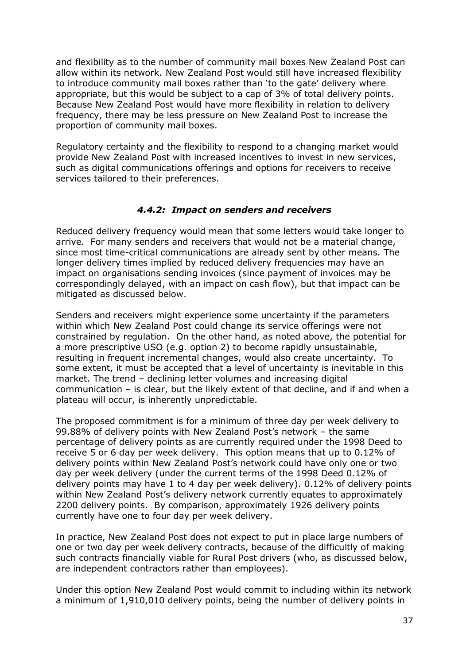and flexibility as to the number of community mail boxes New Zealand Post can allow within its network. New Zealand Post would still have increased flexibility to introduce community mail boxes rather than 'to the gate' delivery where appropriate, but this would be subject to a cap of 3% of total delivery points. Because New Zealand Post would have more flexibility in relation to delivery frequency, there may be less pressure on New Zealand Post to increase the proportion of community mail boxes.

Regulatory certainty and the flexibility to respond to a changing market would provide New Zealand Post with increased incentives to invest in new services, such as digital communications offerings and options for receivers to receive services tailored to their preferences.

## *4.4.2: Impact on senders and receivers*

Reduced delivery frequency would mean that some letters would take longer to arrive. For many senders and receivers that would not be a material change, since most time-critical communications are already sent by other means. The longer delivery times implied by reduced delivery frequencies may have an impact on organisations sending invoices (since payment of invoices may be correspondingly delayed, with an impact on cash flow), but that impact can be mitigated as discussed below.

Senders and receivers might experience some uncertainty if the parameters within which New Zealand Post could change its service offerings were not constrained by regulation. On the other hand, as noted above, the potential for a more prescriptive USO (e.g. option 2) to become rapidly unsustainable, resulting in frequent incremental changes, would also create uncertainty. To some extent, it must be accepted that a level of uncertainty is inevitable in this market. The trend – declining letter volumes and increasing digital communication – is clear, but the likely extent of that decline, and if and when a plateau will occur, is inherently unpredictable.

The proposed commitment is for a minimum of three day per week delivery to 99.88% of delivery points with New Zealand Post's network – the same percentage of delivery points as are currently required under the 1998 Deed to receive 5 or 6 day per week delivery. This option means that up to 0.12% of delivery points within New Zealand Post's network could have only one or two day per week delivery (under the current terms of the 1998 Deed 0.12% of delivery points may have 1 to 4 day per week delivery). 0.12% of delivery points within New Zealand Post's delivery network currently equates to approximately 2200 delivery points. By comparison, approximately 1926 delivery points currently have one to four day per week delivery.

In practice, New Zealand Post does not expect to put in place large numbers of one or two day per week delivery contracts, because of the difficultly of making such contracts financially viable for Rural Post drivers (who, as discussed below, are independent contractors rather than employees).

Under this option New Zealand Post would commit to including within its network a minimum of 1,910,010 delivery points, being the number of delivery points in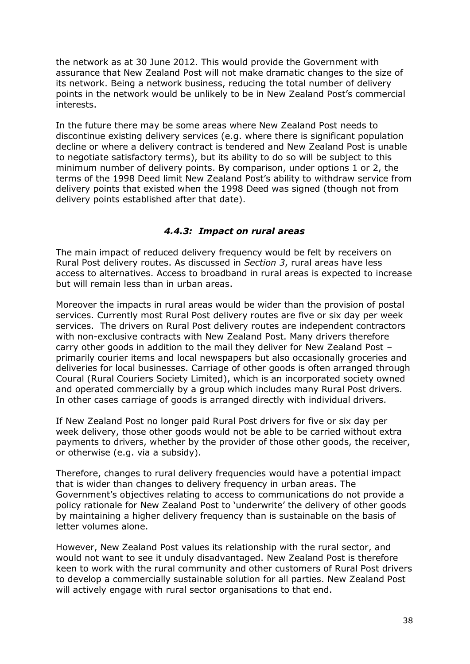the network as at 30 June 2012. This would provide the Government with assurance that New Zealand Post will not make dramatic changes to the size of its network. Being a network business, reducing the total number of delivery points in the network would be unlikely to be in New Zealand Post's commercial interests.

In the future there may be some areas where New Zealand Post needs to discontinue existing delivery services (e.g. where there is significant population decline or where a delivery contract is tendered and New Zealand Post is unable to negotiate satisfactory terms), but its ability to do so will be subject to this minimum number of delivery points. By comparison, under options 1 or 2, the terms of the 1998 Deed limit New Zealand Post's ability to withdraw service from delivery points that existed when the 1998 Deed was signed (though not from delivery points established after that date).

## *4.4.3: Impact on rural areas*

The main impact of reduced delivery frequency would be felt by receivers on Rural Post delivery routes. As discussed in *Section 3*, rural areas have less access to alternatives. Access to broadband in rural areas is expected to increase but will remain less than in urban areas.

Moreover the impacts in rural areas would be wider than the provision of postal services. Currently most Rural Post delivery routes are five or six day per week services. The drivers on Rural Post delivery routes are independent contractors with non-exclusive contracts with New Zealand Post. Many drivers therefore carry other goods in addition to the mail they deliver for New Zealand Post – primarily courier items and local newspapers but also occasionally groceries and deliveries for local businesses. Carriage of other goods is often arranged through Coural (Rural Couriers Society Limited), which is an incorporated society owned and operated commercially by a group which includes many Rural Post drivers. In other cases carriage of goods is arranged directly with individual drivers.

If New Zealand Post no longer paid Rural Post drivers for five or six day per week delivery, those other goods would not be able to be carried without extra payments to drivers, whether by the provider of those other goods, the receiver, or otherwise (e.g. via a subsidy).

Therefore, changes to rural delivery frequencies would have a potential impact that is wider than changes to delivery frequency in urban areas. The Government's objectives relating to access to communications do not provide a policy rationale for New Zealand Post to 'underwrite' the delivery of other goods by maintaining a higher delivery frequency than is sustainable on the basis of letter volumes alone.

However, New Zealand Post values its relationship with the rural sector, and would not want to see it unduly disadvantaged. New Zealand Post is therefore keen to work with the rural community and other customers of Rural Post drivers to develop a commercially sustainable solution for all parties. New Zealand Post will actively engage with rural sector organisations to that end.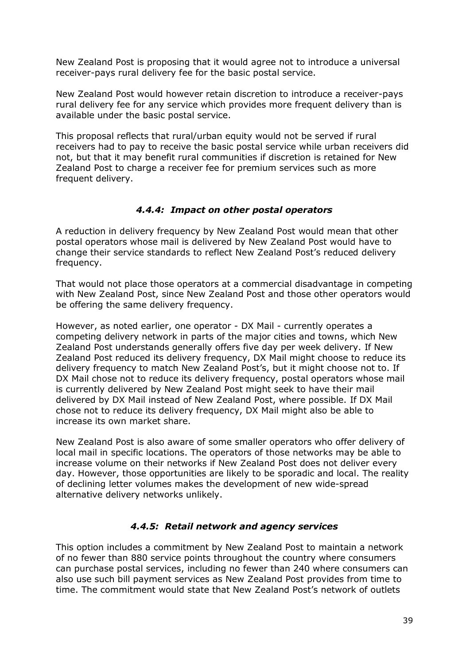New Zealand Post is proposing that it would agree not to introduce a universal receiver-pays rural delivery fee for the basic postal service.

New Zealand Post would however retain discretion to introduce a receiver-pays rural delivery fee for any service which provides more frequent delivery than is available under the basic postal service.

This proposal reflects that rural/urban equity would not be served if rural receivers had to pay to receive the basic postal service while urban receivers did not, but that it may benefit rural communities if discretion is retained for New Zealand Post to charge a receiver fee for premium services such as more frequent delivery.

## *4.4.4: Impact on other postal operators*

A reduction in delivery frequency by New Zealand Post would mean that other postal operators whose mail is delivered by New Zealand Post would have to change their service standards to reflect New Zealand Post's reduced delivery frequency.

That would not place those operators at a commercial disadvantage in competing with New Zealand Post, since New Zealand Post and those other operators would be offering the same delivery frequency.

However, as noted earlier, one operator - DX Mail - currently operates a competing delivery network in parts of the major cities and towns, which New Zealand Post understands generally offers five day per week delivery. If New Zealand Post reduced its delivery frequency, DX Mail might choose to reduce its delivery frequency to match New Zealand Post's, but it might choose not to. If DX Mail chose not to reduce its delivery frequency, postal operators whose mail is currently delivered by New Zealand Post might seek to have their mail delivered by DX Mail instead of New Zealand Post, where possible. If DX Mail chose not to reduce its delivery frequency, DX Mail might also be able to increase its own market share.

New Zealand Post is also aware of some smaller operators who offer delivery of local mail in specific locations. The operators of those networks may be able to increase volume on their networks if New Zealand Post does not deliver every day. However, those opportunities are likely to be sporadic and local. The reality of declining letter volumes makes the development of new wide-spread alternative delivery networks unlikely.

## *4.4.5: Retail network and agency services*

This option includes a commitment by New Zealand Post to maintain a network of no fewer than 880 service points throughout the country where consumers can purchase postal services, including no fewer than 240 where consumers can also use such bill payment services as New Zealand Post provides from time to time. The commitment would state that New Zealand Post's network of outlets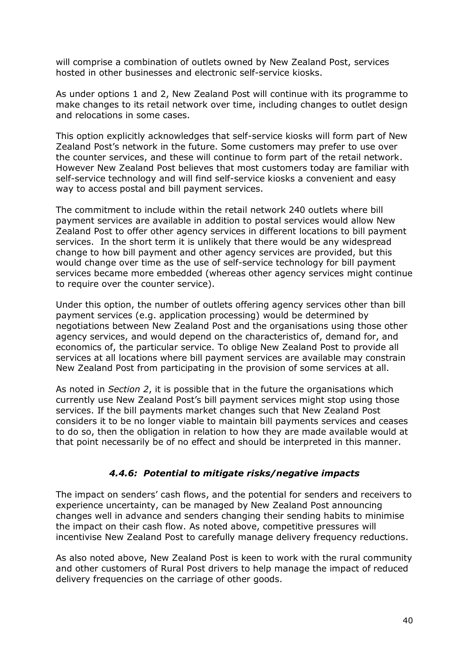will comprise a combination of outlets owned by New Zealand Post, services hosted in other businesses and electronic self-service kiosks.

As under options 1 and 2, New Zealand Post will continue with its programme to make changes to its retail network over time, including changes to outlet design and relocations in some cases.

This option explicitly acknowledges that self-service kiosks will form part of New Zealand Post's network in the future. Some customers may prefer to use over the counter services, and these will continue to form part of the retail network. However New Zealand Post believes that most customers today are familiar with self-service technology and will find self-service kiosks a convenient and easy way to access postal and bill payment services.

The commitment to include within the retail network 240 outlets where bill payment services are available in addition to postal services would allow New Zealand Post to offer other agency services in different locations to bill payment services. In the short term it is unlikely that there would be any widespread change to how bill payment and other agency services are provided, but this would change over time as the use of self-service technology for bill payment services became more embedded (whereas other agency services might continue to require over the counter service).

Under this option, the number of outlets offering agency services other than bill payment services (e.g. application processing) would be determined by negotiations between New Zealand Post and the organisations using those other agency services, and would depend on the characteristics of, demand for, and economics of, the particular service. To oblige New Zealand Post to provide all services at all locations where bill payment services are available may constrain New Zealand Post from participating in the provision of some services at all.

As noted in *Section 2*, it is possible that in the future the organisations which currently use New Zealand Post's bill payment services might stop using those services. If the bill payments market changes such that New Zealand Post considers it to be no longer viable to maintain bill payments services and ceases to do so, then the obligation in relation to how they are made available would at that point necessarily be of no effect and should be interpreted in this manner.

## *4.4.6: Potential to mitigate risks/negative impacts*

The impact on senders' cash flows, and the potential for senders and receivers to experience uncertainty, can be managed by New Zealand Post announcing changes well in advance and senders changing their sending habits to minimise the impact on their cash flow. As noted above, competitive pressures will incentivise New Zealand Post to carefully manage delivery frequency reductions.

As also noted above, New Zealand Post is keen to work with the rural community and other customers of Rural Post drivers to help manage the impact of reduced delivery frequencies on the carriage of other goods.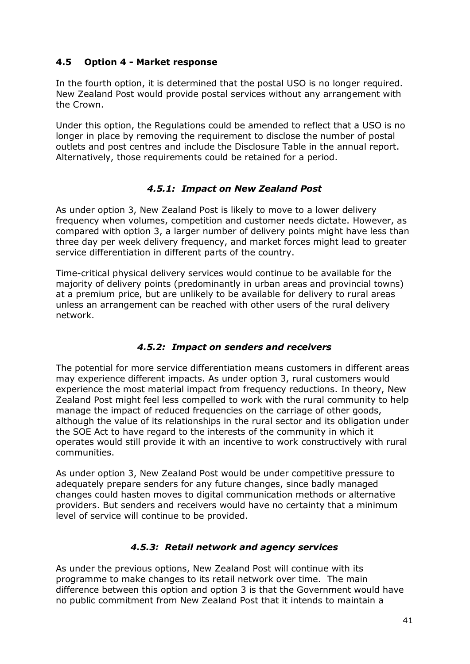## **4.5 Option 4 - Market response**

In the fourth option, it is determined that the postal USO is no longer required. New Zealand Post would provide postal services without any arrangement with the Crown.

Under this option, the Regulations could be amended to reflect that a USO is no longer in place by removing the requirement to disclose the number of postal outlets and post centres and include the Disclosure Table in the annual report. Alternatively, those requirements could be retained for a period.

## *4.5.1: Impact on New Zealand Post*

As under option 3, New Zealand Post is likely to move to a lower delivery frequency when volumes, competition and customer needs dictate. However, as compared with option 3, a larger number of delivery points might have less than three day per week delivery frequency, and market forces might lead to greater service differentiation in different parts of the country.

Time-critical physical delivery services would continue to be available for the majority of delivery points (predominantly in urban areas and provincial towns) at a premium price, but are unlikely to be available for delivery to rural areas unless an arrangement can be reached with other users of the rural delivery network.

## *4.5.2: Impact on senders and receivers*

The potential for more service differentiation means customers in different areas may experience different impacts. As under option 3, rural customers would experience the most material impact from frequency reductions. In theory, New Zealand Post might feel less compelled to work with the rural community to help manage the impact of reduced frequencies on the carriage of other goods, although the value of its relationships in the rural sector and its obligation under the SOE Act to have regard to the interests of the community in which it operates would still provide it with an incentive to work constructively with rural communities.

As under option 3, New Zealand Post would be under competitive pressure to adequately prepare senders for any future changes, since badly managed changes could hasten moves to digital communication methods or alternative providers. But senders and receivers would have no certainty that a minimum level of service will continue to be provided.

## *4.5.3: Retail network and agency services*

As under the previous options, New Zealand Post will continue with its programme to make changes to its retail network over time. The main difference between this option and option 3 is that the Government would have no public commitment from New Zealand Post that it intends to maintain a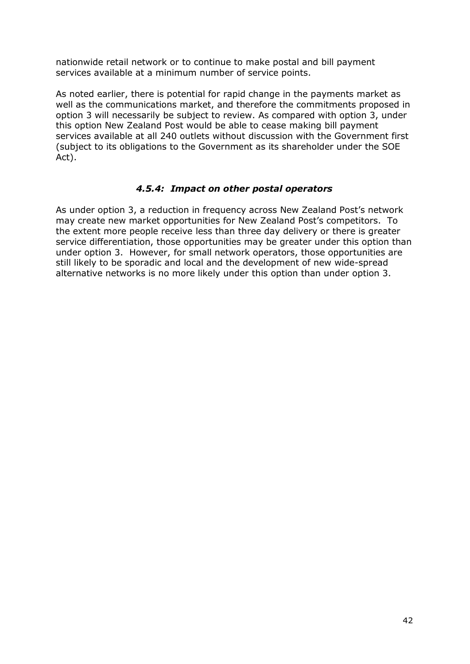nationwide retail network or to continue to make postal and bill payment services available at a minimum number of service points.

As noted earlier, there is potential for rapid change in the payments market as well as the communications market, and therefore the commitments proposed in option 3 will necessarily be subject to review. As compared with option 3, under this option New Zealand Post would be able to cease making bill payment services available at all 240 outlets without discussion with the Government first (subject to its obligations to the Government as its shareholder under the SOE Act).

## *4.5.4: Impact on other postal operators*

As under option 3, a reduction in frequency across New Zealand Post's network may create new market opportunities for New Zealand Post's competitors. To the extent more people receive less than three day delivery or there is greater service differentiation, those opportunities may be greater under this option than under option 3. However, for small network operators, those opportunities are still likely to be sporadic and local and the development of new wide-spread alternative networks is no more likely under this option than under option 3.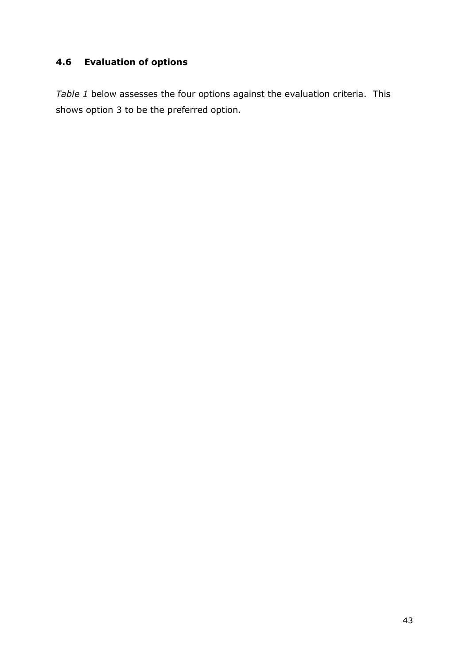# **4.6 Evaluation of options**

*Table 1* below assesses the four options against the evaluation criteria. This shows option 3 to be the preferred option.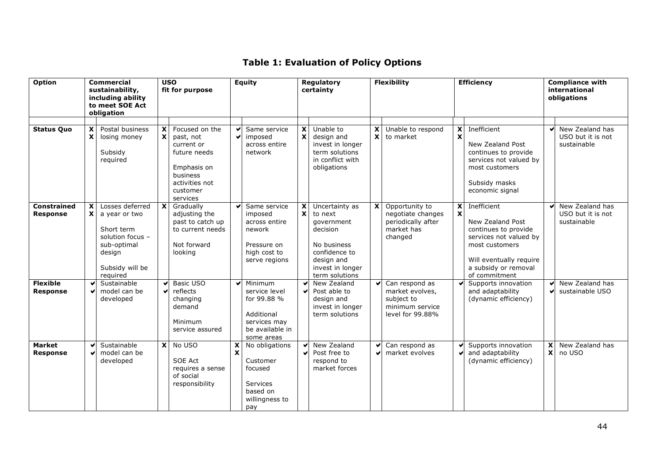# **Table 1: Evaluation of Policy Options**

| Option                                |                                                        | <b>Commercial</b><br>sustainability,<br>including ability<br>to meet SOE Act<br>obligation                                 |                           | <b>USO</b><br>fit for purpose                                                                                                  |                               | <b>Equity</b>                                                                                          |                                           | Regulatory<br>certainty                                                                                                                 |        | <b>Flexibility</b>                                                                     | <b>Efficiency</b>              |                                                                                                                                                                         | <b>Compliance with</b><br>international<br>obligations |                                                     |
|---------------------------------------|--------------------------------------------------------|----------------------------------------------------------------------------------------------------------------------------|---------------------------|--------------------------------------------------------------------------------------------------------------------------------|-------------------------------|--------------------------------------------------------------------------------------------------------|-------------------------------------------|-----------------------------------------------------------------------------------------------------------------------------------------|--------|----------------------------------------------------------------------------------------|--------------------------------|-------------------------------------------------------------------------------------------------------------------------------------------------------------------------|--------------------------------------------------------|-----------------------------------------------------|
| <b>Status Quo</b>                     | $\boldsymbol{\mathsf{x}}$<br>$\boldsymbol{\mathsf{x}}$ | Postal business<br>losing money<br>Subsidy<br>required                                                                     | X<br>X                    | Focused on the<br>past, not<br>current or<br>future needs<br>Emphasis on<br>business<br>activities not<br>customer<br>services | M<br>$\overline{\phantom{0}}$ | Same service<br>imposed<br>across entire<br>network                                                    | $\mathbf{x}$<br>$\mathbf{x}$              | Unable to<br>design and<br>invest in longer<br>term solutions<br>in conflict with<br>obligations                                        | X<br>X | Unable to respond<br>to market                                                         | X<br>$\boldsymbol{\mathsf{x}}$ | Inefficient<br>New Zealand Post<br>continues to provide<br>services not valued by<br>most customers<br>Subsidy masks<br>economic signal                                 | $\blacktriangledown$                                   | New Zealand has<br>USO but it is not<br>sustainable |
| <b>Constrained</b><br><b>Response</b> | X<br>$\mathbf{x}$                                      | Losses deferred<br>a year or two<br>Short term<br>solution focus -<br>sub-optimal<br>design<br>Subsidy will be<br>reauired | $\boldsymbol{\mathsf{x}}$ | Gradually<br>adjusting the<br>past to catch up<br>to current needs<br>Not forward<br>looking                                   |                               | Same service<br>imposed<br>across entire<br>nework<br>Pressure on<br>high cost to<br>serve regions     | $\mathbf{x}$<br>$\boldsymbol{\mathsf{x}}$ | Uncertainty as<br>to next<br>government<br>decision<br>No business<br>confidence to<br>design and<br>invest in longer<br>term solutions | X      | Opportunity to<br>negotiate changes<br>periodically after<br>market has<br>changed     | $\boldsymbol{\mathsf{x}}$      | Inefficient<br>New Zealand Post<br>continues to provide<br>services not valued by<br>most customers<br>Will eventually require<br>a subsidy or removal<br>of commitment |                                                        | New Zealand has<br>USO but it is not<br>sustainable |
| <b>Flexible</b><br><b>Response</b>    | ✔                                                      | Sustainable<br>model can be<br>developed                                                                                   | ✔                         | Basic USO<br>reflects<br>changing<br>demand<br>Minimum<br>service assured                                                      | ✔                             | Minimum<br>service level<br>for 99.88 %<br>Additional<br>services may<br>be available in<br>some areas | ✔<br>V                                    | New Zealand<br>Post able to<br>design and<br>invest in longer<br>term solutions                                                         | v      | Can respond as<br>market evolves,<br>subject to<br>minimum service<br>level for 99.88% |                                | Supports innovation<br>and adaptability<br>(dynamic efficiency)                                                                                                         |                                                        | New Zealand has<br>sustainable USO                  |
| <b>Market</b><br><b>Response</b>      | ✔                                                      | Sustainable<br>model can be<br>developed                                                                                   | $\overline{\mathbf{x}}$   | No USO<br>SOE Act<br>requires a sense<br>of social<br>responsibility                                                           | X<br>$\mathbf x$              | No obligations<br>Customer<br>focused<br><b>Services</b><br>based on<br>willingness to<br>pay          | ✔<br>✔                                    | New Zealand<br>Post free to<br>respond to<br>market forces                                                                              | v      | Can respond as<br>market evolves                                                       |                                | Supports innovation<br>and adaptability<br>(dynamic efficiency)                                                                                                         | X<br>$\pmb{\mathsf{x}}$                                | New Zealand has<br>no USO                           |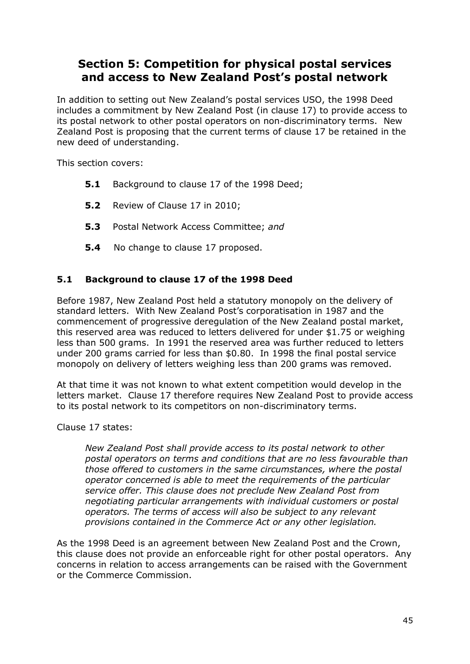# **Section 5: Competition for physical postal services and access to New Zealand Post's postal network**

In addition to setting out New Zealand's postal services USO, the 1998 Deed includes a commitment by New Zealand Post (in clause 17) to provide access to its postal network to other postal operators on non-discriminatory terms. New Zealand Post is proposing that the current terms of clause 17 be retained in the new deed of understanding.

This section covers:

- **5.1** Background to clause 17 of the 1998 Deed;
- **5.2** Review of Clause 17 in 2010;
- **5.3** Postal Network Access Committee; *and*
- **5.4** No change to clause 17 proposed.

## **5.1 Background to clause 17 of the 1998 Deed**

Before 1987, New Zealand Post held a statutory monopoly on the delivery of standard letters. With New Zealand Post's corporatisation in 1987 and the commencement of progressive deregulation of the New Zealand postal market, this reserved area was reduced to letters delivered for under \$1.75 or weighing less than 500 grams. In 1991 the reserved area was further reduced to letters under 200 grams carried for less than \$0.80. In 1998 the final postal service monopoly on delivery of letters weighing less than 200 grams was removed.

At that time it was not known to what extent competition would develop in the letters market. Clause 17 therefore requires New Zealand Post to provide access to its postal network to its competitors on non-discriminatory terms.

## Clause 17 states:

*New Zealand Post shall provide access to its postal network to other postal operators on terms and conditions that are no less favourable than those offered to customers in the same circumstances, where the postal operator concerned is able to meet the requirements of the particular service offer. This clause does not preclude New Zealand Post from negotiating particular arrangements with individual customers or postal operators. The terms of access will also be subject to any relevant provisions contained in the Commerce Act or any other legislation.* 

As the 1998 Deed is an agreement between New Zealand Post and the Crown, this clause does not provide an enforceable right for other postal operators. Any concerns in relation to access arrangements can be raised with the Government or the Commerce Commission.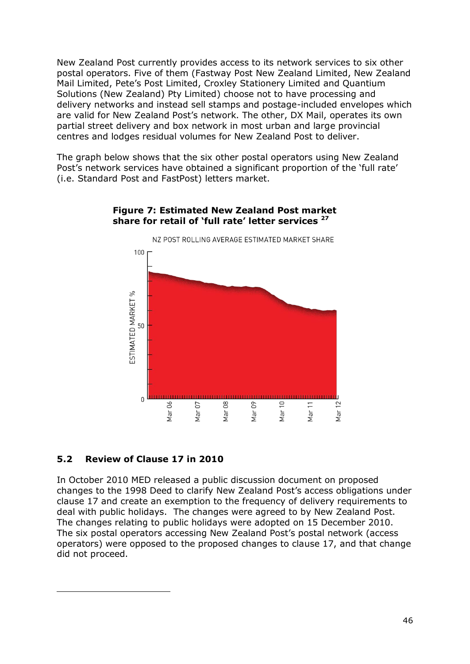New Zealand Post currently provides access to its network services to six other postal operators. Five of them (Fastway Post New Zealand Limited, New Zealand Mail Limited, Pete's Post Limited, Croxley Stationery Limited and Quantium Solutions (New Zealand) Pty Limited) choose not to have processing and delivery networks and instead sell stamps and postage-included envelopes which are valid for New Zealand Post's network. The other, DX Mail, operates its own partial street delivery and box network in most urban and large provincial centres and lodges residual volumes for New Zealand Post to deliver.

The graph below shows that the six other postal operators using New Zealand Post's network services have obtained a significant proportion of the 'full rate' (i.e. Standard Post and FastPost) letters market.



#### **Figure 7: Estimated New Zealand Post market share for retail of 'full rate' letter services <sup>27</sup>**

## **5.2 Review of Clause 17 in 2010**

 $\overline{a}$ 

In October 2010 MED released a public discussion document on proposed changes to the 1998 Deed to clarify New Zealand Post's access obligations under clause 17 and create an exemption to the frequency of delivery requirements to deal with public holidays. The changes were agreed to by New Zealand Post. The changes relating to public holidays were adopted on 15 December 2010. The six postal operators accessing New Zealand Post's postal network (access operators) were opposed to the proposed changes to clause 17, and that change did not proceed.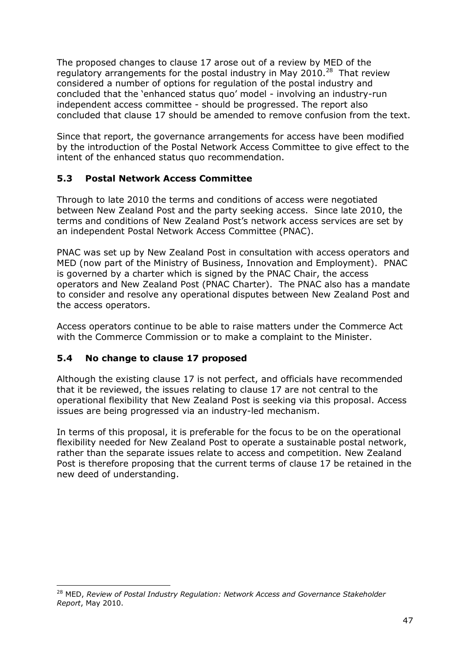The proposed changes to clause 17 arose out of a review by MED of the regulatory arrangements for the postal industry in May 2010. $^{28}$  That review considered a number of options for regulation of the postal industry and concluded that the ‗enhanced status quo' model - involving an industry-run independent access committee - should be progressed. The report also concluded that clause 17 should be amended to remove confusion from the text.

Since that report, the governance arrangements for access have been modified by the introduction of the Postal Network Access Committee to give effect to the intent of the enhanced status quo recommendation.

## **5.3 Postal Network Access Committee**

Through to late 2010 the terms and conditions of access were negotiated between New Zealand Post and the party seeking access. Since late 2010, the terms and conditions of New Zealand Post's network access services are set by an independent Postal Network Access Committee (PNAC).

PNAC was set up by New Zealand Post in consultation with access operators and MED (now part of the Ministry of Business, Innovation and Employment). PNAC is governed by a charter which is signed by the PNAC Chair, the access operators and New Zealand Post (PNAC Charter). The PNAC also has a mandate to consider and resolve any operational disputes between New Zealand Post and the access operators.

Access operators continue to be able to raise matters under the Commerce Act with the Commerce Commission or to make a complaint to the Minister.

## **5.4 No change to clause 17 proposed**

Although the existing clause 17 is not perfect, and officials have recommended that it be reviewed, the issues relating to clause 17 are not central to the operational flexibility that New Zealand Post is seeking via this proposal. Access issues are being progressed via an industry-led mechanism.

In terms of this proposal, it is preferable for the focus to be on the operational flexibility needed for New Zealand Post to operate a sustainable postal network, rather than the separate issues relate to access and competition. New Zealand Post is therefore proposing that the current terms of clause 17 be retained in the new deed of understanding.

 $\overline{a}$ <sup>28</sup> MED, *Review of Postal Industry Regulation: Network Access and Governance Stakeholder Report*, May 2010.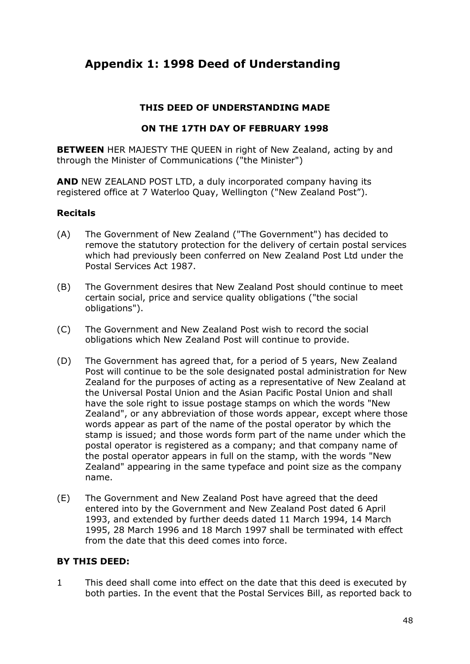# **Appendix 1: 1998 Deed of Understanding**

## **THIS DEED OF UNDERSTANDING MADE**

## **ON THE 17TH DAY OF FEBRUARY 1998**

**BETWEEN** HER MAJESTY THE QUEEN in right of New Zealand, acting by and through the Minister of Communications ("the Minister")

**AND** NEW ZEALAND POST LTD, a duly incorporated company having its registered office at 7 Waterloo Quay, Wellington ("New Zealand Post").

## **Recitals**

- (A) The Government of New Zealand ("The Government") has decided to remove the statutory protection for the delivery of certain postal services which had previously been conferred on New Zealand Post Ltd under the Postal Services Act 1987.
- (B) The Government desires that New Zealand Post should continue to meet certain social, price and service quality obligations ("the social obligations").
- (C) The Government and New Zealand Post wish to record the social obligations which New Zealand Post will continue to provide.
- (D) The Government has agreed that, for a period of 5 years, New Zealand Post will continue to be the sole designated postal administration for New Zealand for the purposes of acting as a representative of New Zealand at the Universal Postal Union and the Asian Pacific Postal Union and shall have the sole right to issue postage stamps on which the words "New Zealand", or any abbreviation of those words appear, except where those words appear as part of the name of the postal operator by which the stamp is issued; and those words form part of the name under which the postal operator is registered as a company; and that company name of the postal operator appears in full on the stamp, with the words "New Zealand" appearing in the same typeface and point size as the company name.
- (E) The Government and New Zealand Post have agreed that the deed entered into by the Government and New Zealand Post dated 6 April 1993, and extended by further deeds dated 11 March 1994, 14 March 1995, 28 March 1996 and 18 March 1997 shall be terminated with effect from the date that this deed comes into force.

## **BY THIS DEED:**

1 This deed shall come into effect on the date that this deed is executed by both parties. In the event that the Postal Services Bill, as reported back to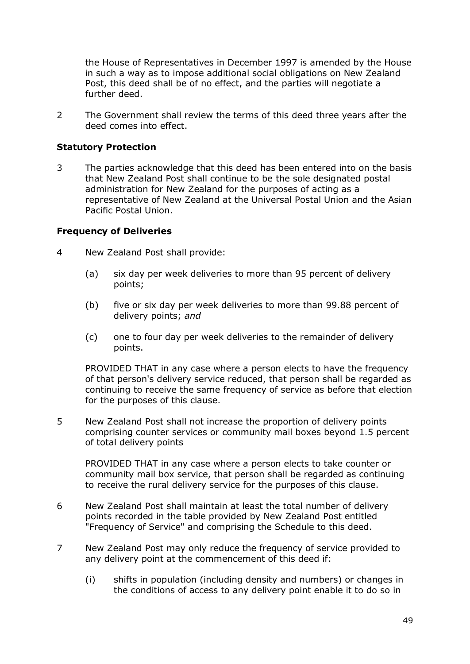the House of Representatives in December 1997 is amended by the House in such a way as to impose additional social obligations on New Zealand Post, this deed shall be of no effect, and the parties will negotiate a further deed.

2 The Government shall review the terms of this deed three years after the deed comes into effect.

## **Statutory Protection**

3 The parties acknowledge that this deed has been entered into on the basis that New Zealand Post shall continue to be the sole designated postal administration for New Zealand for the purposes of acting as a representative of New Zealand at the Universal Postal Union and the Asian Pacific Postal Union.

## **Frequency of Deliveries**

- 4 New Zealand Post shall provide:
	- (a) six day per week deliveries to more than 95 percent of delivery points;
	- (b) five or six day per week deliveries to more than 99.88 percent of delivery points; *and*
	- (c) one to four day per week deliveries to the remainder of delivery points.

PROVIDED THAT in any case where a person elects to have the frequency of that person's delivery service reduced, that person shall be regarded as continuing to receive the same frequency of service as before that election for the purposes of this clause.

5 New Zealand Post shall not increase the proportion of delivery points comprising counter services or community mail boxes beyond 1.5 percent of total delivery points

PROVIDED THAT in any case where a person elects to take counter or community mail box service, that person shall be regarded as continuing to receive the rural delivery service for the purposes of this clause.

- 6 New Zealand Post shall maintain at least the total number of delivery points recorded in the table provided by New Zealand Post entitled "Frequency of Service" and comprising the Schedule to this deed.
- 7 New Zealand Post may only reduce the frequency of service provided to any delivery point at the commencement of this deed if:
	- (i) shifts in population (including density and numbers) or changes in the conditions of access to any delivery point enable it to do so in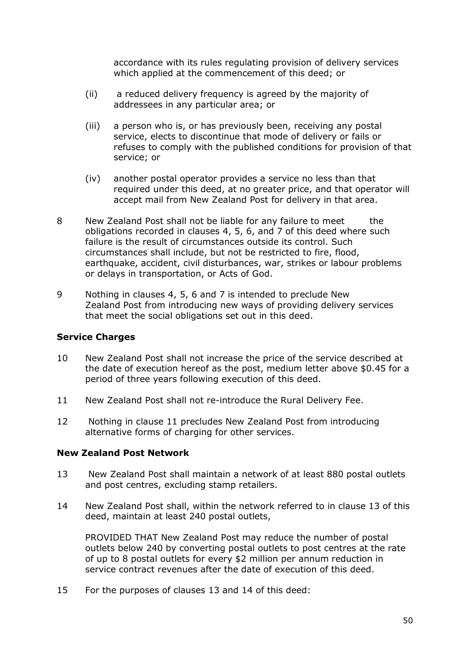accordance with its rules regulating provision of delivery services which applied at the commencement of this deed; or

- (ii) a reduced delivery frequency is agreed by the majority of addressees in any particular area; or
- (iii) a person who is, or has previously been, receiving any postal service, elects to discontinue that mode of delivery or fails or refuses to comply with the published conditions for provision of that service; or
- (iv) another postal operator provides a service no less than that required under this deed, at no greater price, and that operator will accept mail from New Zealand Post for delivery in that area.
- 8 New Zealand Post shall not be liable for any failure to meet the obligations recorded in clauses 4, 5, 6, and 7 of this deed where such failure is the result of circumstances outside its control. Such circumstances shall include, but not be restricted to fire, flood, earthquake, accident, civil disturbances, war, strikes or labour problems or delays in transportation, or Acts of God.
- 9 Nothing in clauses 4, 5, 6 and 7 is intended to preclude New Zealand Post from introducing new ways of providing delivery services that meet the social obligations set out in this deed.

## **Service Charges**

- 10 New Zealand Post shall not increase the price of the service described at the date of execution hereof as the post, medium letter above \$0.45 for a period of three years following execution of this deed.
- 11 New Zealand Post shall not re-introduce the Rural Delivery Fee.
- 12 Nothing in clause 11 precludes New Zealand Post from introducing alternative forms of charging for other services.

#### **New Zealand Post Network**

- 13 New Zealand Post shall maintain a network of at least 880 postal outlets and post centres, excluding stamp retailers.
- 14 New Zealand Post shall, within the network referred to in clause 13 of this deed, maintain at least 240 postal outlets,

PROVIDED THAT New Zealand Post may reduce the number of postal outlets below 240 by converting postal outlets to post centres at the rate of up to 8 postal outlets for every \$2 million per annum reduction in service contract revenues after the date of execution of this deed.

15 For the purposes of clauses 13 and 14 of this deed: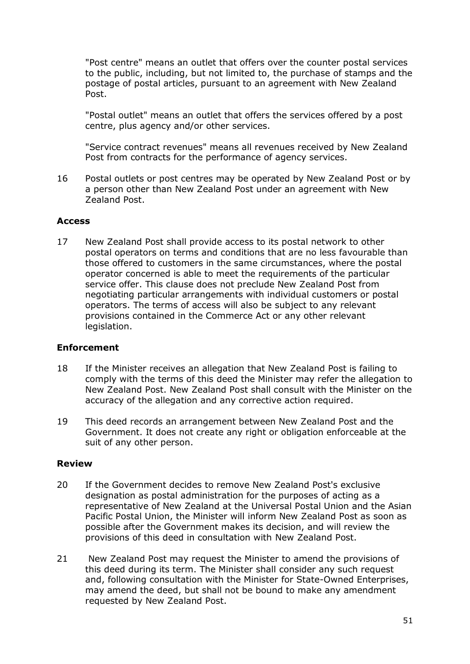"Post centre" means an outlet that offers over the counter postal services to the public, including, but not limited to, the purchase of stamps and the postage of postal articles, pursuant to an agreement with New Zealand Post.

"Postal outlet" means an outlet that offers the services offered by a post centre, plus agency and/or other services.

"Service contract revenues" means all revenues received by New Zealand Post from contracts for the performance of agency services.

16 Postal outlets or post centres may be operated by New Zealand Post or by a person other than New Zealand Post under an agreement with New Zealand Post.

#### **Access**

17 New Zealand Post shall provide access to its postal network to other postal operators on terms and conditions that are no less favourable than those offered to customers in the same circumstances, where the postal operator concerned is able to meet the requirements of the particular service offer. This clause does not preclude New Zealand Post from negotiating particular arrangements with individual customers or postal operators. The terms of access will also be subject to any relevant provisions contained in the Commerce Act or any other relevant legislation.

#### **Enforcement**

- 18 If the Minister receives an allegation that New Zealand Post is failing to comply with the terms of this deed the Minister may refer the allegation to New Zealand Post. New Zealand Post shall consult with the Minister on the accuracy of the allegation and any corrective action required.
- 19 This deed records an arrangement between New Zealand Post and the Government. It does not create any right or obligation enforceable at the suit of any other person.

#### **Review**

- 20 If the Government decides to remove New Zealand Post's exclusive designation as postal administration for the purposes of acting as a representative of New Zealand at the Universal Postal Union and the Asian Pacific Postal Union, the Minister will inform New Zealand Post as soon as possible after the Government makes its decision, and will review the provisions of this deed in consultation with New Zealand Post.
- 21 New Zealand Post may request the Minister to amend the provisions of this deed during its term. The Minister shall consider any such request and, following consultation with the Minister for State-Owned Enterprises, may amend the deed, but shall not be bound to make any amendment requested by New Zealand Post.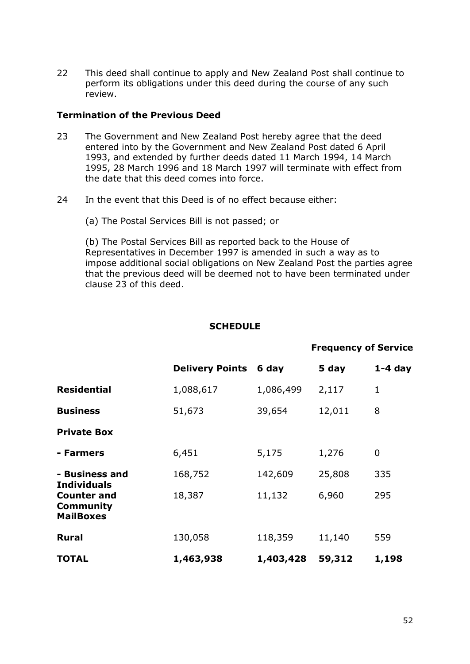22 This deed shall continue to apply and New Zealand Post shall continue to perform its obligations under this deed during the course of any such review.

#### **Termination of the Previous Deed**

- 23 The Government and New Zealand Post hereby agree that the deed entered into by the Government and New Zealand Post dated 6 April 1993, and extended by further deeds dated 11 March 1994, 14 March 1995, 28 March 1996 and 18 March 1997 will terminate with effect from the date that this deed comes into force.
- 24 In the event that this Deed is of no effect because either:
	- (a) The Postal Services Bill is not passed; or

(b) The Postal Services Bill as reported back to the House of Representatives in December 1997 is amended in such a way as to impose additional social obligations on New Zealand Post the parties agree that the previous deed will be deemed not to have been terminated under clause 23 of this deed.

#### **SCHEDULE**

|                                                     |                        |           | <b>Frequency of Service</b> |              |
|-----------------------------------------------------|------------------------|-----------|-----------------------------|--------------|
|                                                     | <b>Delivery Points</b> | 6 day     | 5 day                       | $1-4$ day    |
| <b>Residential</b>                                  | 1,088,617              | 1,086,499 | 2,117                       | $\mathbf{1}$ |
| <b>Business</b>                                     | 51,673                 | 39,654    | 12,011                      | 8            |
| <b>Private Box</b>                                  |                        |           |                             |              |
| - Farmers                                           | 6,451                  | 5,175     | 1,276                       | 0            |
| - Business and<br><b>Individuals</b>                | 168,752                | 142,609   | 25,808                      | 335          |
| <b>Counter and</b><br>Community<br><b>MailBoxes</b> | 18,387                 | 11,132    | 6,960                       | 295          |
| <b>Rural</b>                                        | 130,058                | 118,359   | 11,140                      | 559          |
| <b>TOTAL</b>                                        | 1,463,938              | 1,403,428 | 59,312                      | 1,198        |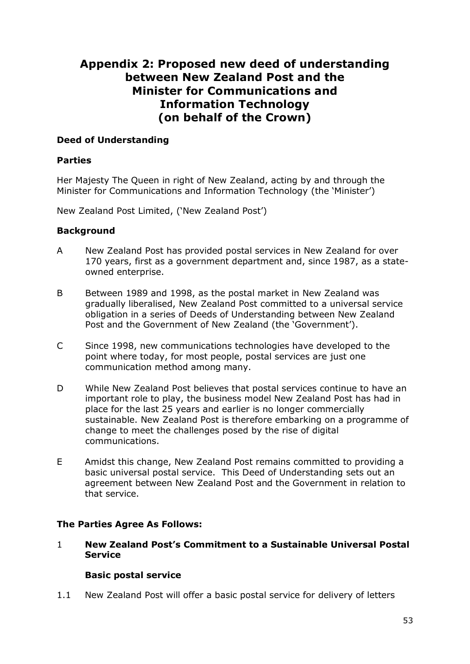# **Appendix 2: Proposed new deed of understanding between New Zealand Post and the Minister for Communications and Information Technology (on behalf of the Crown)**

## **Deed of Understanding**

## **Parties**

Her Majesty The Queen in right of New Zealand, acting by and through the Minister for Communications and Information Technology (the 'Minister')

New Zealand Post Limited, ('New Zealand Post')

## **Background**

- A New Zealand Post has provided postal services in New Zealand for over 170 years, first as a government department and, since 1987, as a stateowned enterprise.
- B Between 1989 and 1998, as the postal market in New Zealand was gradually liberalised, New Zealand Post committed to a universal service obligation in a series of Deeds of Understanding between New Zealand Post and the Government of New Zealand (the 'Government').
- C Since 1998, new communications technologies have developed to the point where today, for most people, postal services are just one communication method among many.
- D While New Zealand Post believes that postal services continue to have an important role to play, the business model New Zealand Post has had in place for the last 25 years and earlier is no longer commercially sustainable. New Zealand Post is therefore embarking on a programme of change to meet the challenges posed by the rise of digital communications.
- E Amidst this change, New Zealand Post remains committed to providing a basic universal postal service. This Deed of Understanding sets out an agreement between New Zealand Post and the Government in relation to that service.

## **The Parties Agree As Follows:**

1 **New Zealand Post's Commitment to a Sustainable Universal Postal Service** 

## **Basic postal service**

1.1 New Zealand Post will offer a basic postal service for delivery of letters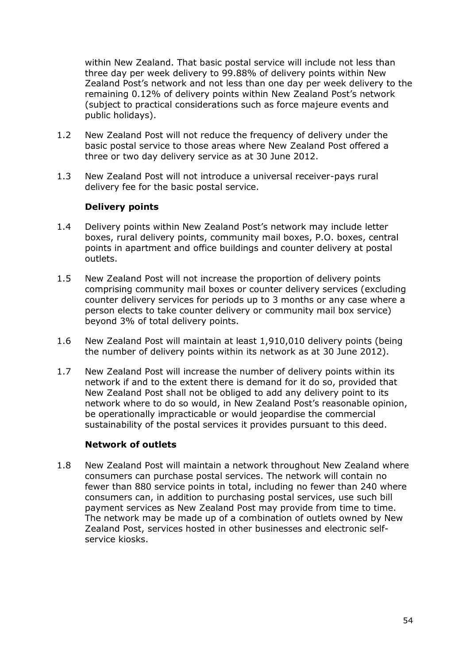within New Zealand. That basic postal service will include not less than three day per week delivery to 99.88% of delivery points within New Zealand Post's network and not less than one day per week delivery to the remaining 0.12% of delivery points within New Zealand Post's network (subject to practical considerations such as force majeure events and public holidays).

- 1.2 New Zealand Post will not reduce the frequency of delivery under the basic postal service to those areas where New Zealand Post offered a three or two day delivery service as at 30 June 2012.
- 1.3 New Zealand Post will not introduce a universal receiver-pays rural delivery fee for the basic postal service.

## **Delivery points**

- 1.4 Delivery points within New Zealand Post's network may include letter boxes, rural delivery points, community mail boxes, P.O. boxes, central points in apartment and office buildings and counter delivery at postal outlets.
- 1.5 New Zealand Post will not increase the proportion of delivery points comprising community mail boxes or counter delivery services (excluding counter delivery services for periods up to 3 months or any case where a person elects to take counter delivery or community mail box service) beyond 3% of total delivery points.
- 1.6 New Zealand Post will maintain at least 1,910,010 delivery points (being the number of delivery points within its network as at 30 June 2012).
- 1.7 New Zealand Post will increase the number of delivery points within its network if and to the extent there is demand for it do so, provided that New Zealand Post shall not be obliged to add any delivery point to its network where to do so would, in New Zealand Post's reasonable opinion, be operationally impracticable or would jeopardise the commercial sustainability of the postal services it provides pursuant to this deed.

## **Network of outlets**

1.8 New Zealand Post will maintain a network throughout New Zealand where consumers can purchase postal services. The network will contain no fewer than 880 service points in total, including no fewer than 240 where consumers can, in addition to purchasing postal services, use such bill payment services as New Zealand Post may provide from time to time. The network may be made up of a combination of outlets owned by New Zealand Post, services hosted in other businesses and electronic selfservice kiosks.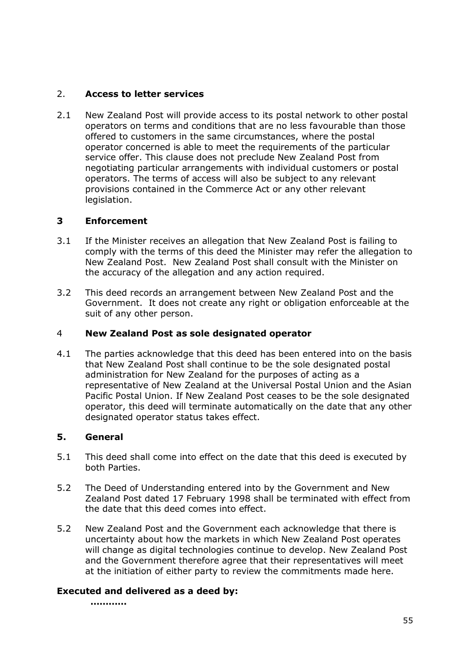## 2. **Access to letter services**

2.1 New Zealand Post will provide access to its postal network to other postal operators on terms and conditions that are no less favourable than those offered to customers in the same circumstances, where the postal operator concerned is able to meet the requirements of the particular service offer. This clause does not preclude New Zealand Post from negotiating particular arrangements with individual customers or postal operators. The terms of access will also be subject to any relevant provisions contained in the Commerce Act or any other relevant legislation.

## **3 Enforcement**

- 3.1 If the Minister receives an allegation that New Zealand Post is failing to comply with the terms of this deed the Minister may refer the allegation to New Zealand Post. New Zealand Post shall consult with the Minister on the accuracy of the allegation and any action required.
- 3.2 This deed records an arrangement between New Zealand Post and the Government. It does not create any right or obligation enforceable at the suit of any other person.

## 4 **New Zealand Post as sole designated operator**

4.1 The parties acknowledge that this deed has been entered into on the basis that New Zealand Post shall continue to be the sole designated postal administration for New Zealand for the purposes of acting as a representative of New Zealand at the Universal Postal Union and the Asian Pacific Postal Union. If New Zealand Post ceases to be the sole designated operator, this deed will terminate automatically on the date that any other designated operator status takes effect.

## **5. General**

- 5.1 This deed shall come into effect on the date that this deed is executed by both Parties.
- 5.2 The Deed of Understanding entered into by the Government and New Zealand Post dated 17 February 1998 shall be terminated with effect from the date that this deed comes into effect.
- 5.2 New Zealand Post and the Government each acknowledge that there is uncertainty about how the markets in which New Zealand Post operates will change as digital technologies continue to develop. New Zealand Post and the Government therefore agree that their representatives will meet at the initiation of either party to review the commitments made here.

## **Executed and delivered as a deed by:**

**…………**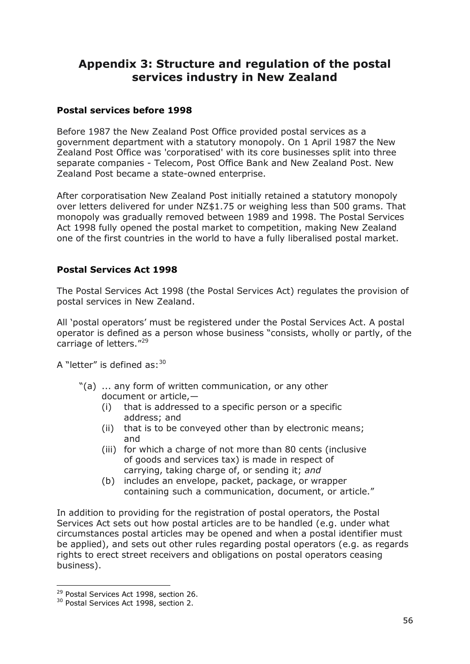# **Appendix 3: Structure and regulation of the postal services industry in New Zealand**

## **Postal services before 1998**

Before 1987 the New Zealand Post Office provided postal services as a government department with a statutory monopoly. On 1 April 1987 the New Zealand Post Office was 'corporatised' with its core businesses split into three separate companies - Telecom, Post Office Bank and New Zealand Post. New Zealand Post became a state-owned enterprise.

After corporatisation New Zealand Post initially retained a statutory monopoly over letters delivered for under NZ\$1.75 or weighing less than 500 grams. That monopoly was gradually removed between 1989 and 1998. The Postal Services Act 1998 fully opened the postal market to competition, making New Zealand one of the first countries in the world to have a fully liberalised postal market.

## **Postal Services Act 1998**

The Postal Services Act 1998 (the Postal Services Act) regulates the provision of postal services in New Zealand.

All 'postal operators' must be registered under the Postal Services Act. A postal operator is defined as a person whose business "consists, wholly or partly, of the carriage of letters."<sup>29</sup>

A "letter" is defined as:  $30$ 

- $\degree$ (a)  $\ldots$  any form of written communication, or any other document or article,—
	- (i) that is addressed to a specific person or a specific address; and
	- (ii) that is to be conveyed other than by electronic means; and
	- (iii) for which a charge of not more than 80 cents (inclusive of goods and services tax) is made in respect of carrying, taking charge of, or sending it; *and*
	- (b) includes an envelope, packet, package, or wrapper containing such a communication, document, or article."

In addition to providing for the registration of postal operators, the Postal Services Act sets out how postal articles are to be handled (e.g. under what circumstances postal articles may be opened and when a postal identifier must be applied), and sets out other rules regarding postal operators (e.g. as regards rights to erect street receivers and obligations on postal operators ceasing business).

 $\overline{a}$ 

<sup>&</sup>lt;sup>29</sup> Postal Services Act 1998, section 26.

<sup>&</sup>lt;sup>30</sup> Postal Services Act 1998, section 2.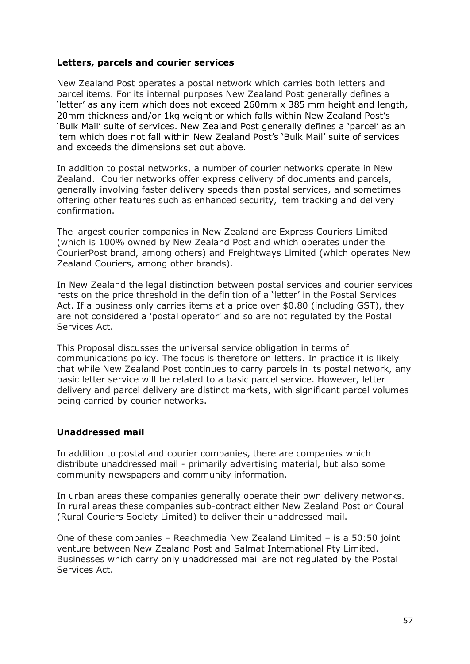#### **Letters, parcels and courier services**

New Zealand Post operates a postal network which carries both letters and parcel items. For its internal purposes New Zealand Post generally defines a ‗letter' as any item which does not exceed 260mm x 385 mm height and length, 20mm thickness and/or 1kg weight or which falls within New Zealand Post's 'Bulk Mail' suite of services. New Zealand Post generally defines a 'parcel' as an item which does not fall within New Zealand Post's 'Bulk Mail' suite of services and exceeds the dimensions set out above.

In addition to postal networks, a number of courier networks operate in New Zealand. Courier networks offer express delivery of documents and parcels, generally involving faster delivery speeds than postal services, and sometimes offering other features such as enhanced security, item tracking and delivery confirmation.

The largest courier companies in New Zealand are Express Couriers Limited (which is 100% owned by New Zealand Post and which operates under the CourierPost brand, among others) and Freightways Limited (which operates New Zealand Couriers, among other brands).

In New Zealand the legal distinction between postal services and courier services rests on the price threshold in the definition of a 'letter' in the Postal Services Act. If a business only carries items at a price over \$0.80 (including GST), they are not considered a 'postal operator' and so are not regulated by the Postal Services Act.

This Proposal discusses the universal service obligation in terms of communications policy. The focus is therefore on letters. In practice it is likely that while New Zealand Post continues to carry parcels in its postal network, any basic letter service will be related to a basic parcel service. However, letter delivery and parcel delivery are distinct markets, with significant parcel volumes being carried by courier networks.

## **Unaddressed mail**

In addition to postal and courier companies, there are companies which distribute unaddressed mail - primarily advertising material, but also some community newspapers and community information.

In urban areas these companies generally operate their own delivery networks. In rural areas these companies sub-contract either New Zealand Post or Coural (Rural Couriers Society Limited) to deliver their unaddressed mail.

One of these companies – Reachmedia New Zealand Limited – is a 50:50 joint venture between New Zealand Post and Salmat International Pty Limited. Businesses which carry only unaddressed mail are not regulated by the Postal Services Act.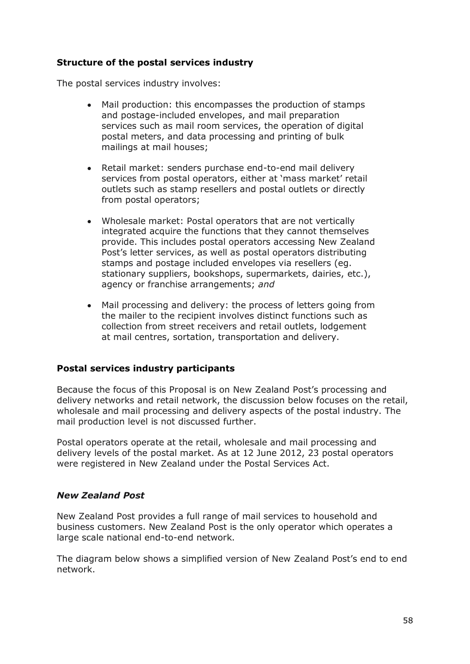## **Structure of the postal services industry**

The postal services industry involves:

- Mail production: this encompasses the production of stamps and postage-included envelopes, and mail preparation services such as mail room services, the operation of digital postal meters, and data processing and printing of bulk mailings at mail houses;
- Retail market: senders purchase end-to-end mail delivery services from postal operators, either at 'mass market' retail outlets such as stamp resellers and postal outlets or directly from postal operators;
- Wholesale market: Postal operators that are not vertically integrated acquire the functions that they cannot themselves provide. This includes postal operators accessing New Zealand Post's letter services, as well as postal operators distributing stamps and postage included envelopes via resellers (eg. stationary suppliers, bookshops, supermarkets, dairies, etc.), agency or franchise arrangements; *and*
- Mail processing and delivery: the process of letters going from the mailer to the recipient involves distinct functions such as collection from street receivers and retail outlets, lodgement at mail centres, sortation, transportation and delivery.

## **Postal services industry participants**

Because the focus of this Proposal is on New Zealand Post's processing and delivery networks and retail network, the discussion below focuses on the retail, wholesale and mail processing and delivery aspects of the postal industry. The mail production level is not discussed further.

Postal operators operate at the retail, wholesale and mail processing and delivery levels of the postal market. As at 12 June 2012, 23 postal operators were registered in New Zealand under the Postal Services Act.

#### *New Zealand Post*

New Zealand Post provides a full range of mail services to household and business customers. New Zealand Post is the only operator which operates a large scale national end-to-end network.

The diagram below shows a simplified version of New Zealand Post's end to end network.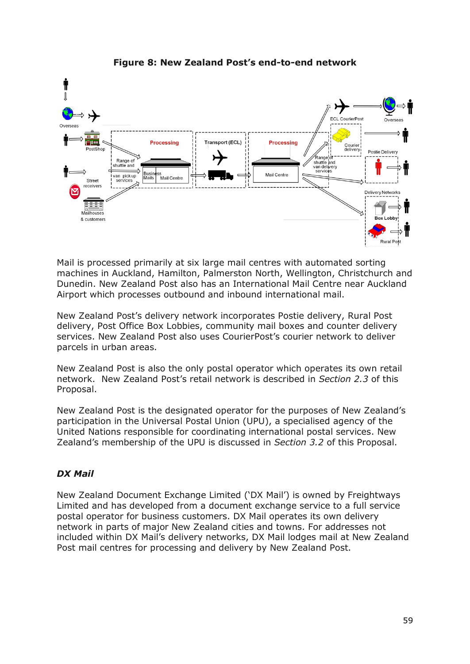

## **Figure 8: New Zealand Post's end-to-end network**

Mail is processed primarily at six large mail centres with automated sorting machines in Auckland, Hamilton, Palmerston North, Wellington, Christchurch and Dunedin. New Zealand Post also has an International Mail Centre near Auckland Airport which processes outbound and inbound international mail.

New Zealand Post's delivery network incorporates Postie delivery, Rural Post delivery, Post Office Box Lobbies, community mail boxes and counter delivery services. New Zealand Post also uses CourierPost's courier network to deliver parcels in urban areas.

New Zealand Post is also the only postal operator which operates its own retail network. New Zealand Post's retail network is described in *Section 2.3* of this Proposal.

New Zealand Post is the designated operator for the purposes of New Zealand's participation in the Universal Postal Union (UPU), a specialised agency of the United Nations responsible for coordinating international postal services. New Zealand's membership of the UPU is discussed in *Section 3.2* of this Proposal.

## *DX Mail*

New Zealand Document Exchange Limited (‗DX Mail') is owned by Freightways Limited and has developed from a document exchange service to a full service postal operator for business customers. DX Mail operates its own delivery network in parts of major New Zealand cities and towns. For addresses not included within DX Mail's delivery networks, DX Mail lodges mail at New Zealand Post mail centres for processing and delivery by New Zealand Post.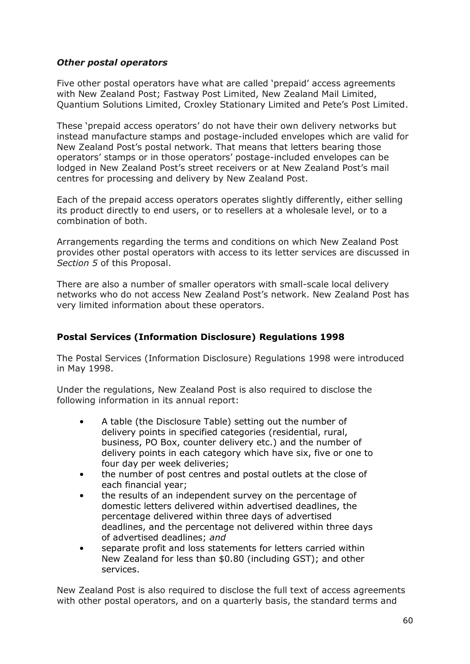## *Other postal operators*

Five other postal operators have what are called 'prepaid' access agreements with New Zealand Post; Fastway Post Limited, New Zealand Mail Limited, Quantium Solutions Limited, Croxley Stationary Limited and Pete's Post Limited.

These 'prepaid access operators' do not have their own delivery networks but instead manufacture stamps and postage-included envelopes which are valid for New Zealand Post's postal network. That means that letters bearing those operators' stamps or in those operators' postage-included envelopes can be lodged in New Zealand Post's street receivers or at New Zealand Post's mail centres for processing and delivery by New Zealand Post.

Each of the prepaid access operators operates slightly differently, either selling its product directly to end users, or to resellers at a wholesale level, or to a combination of both.

Arrangements regarding the terms and conditions on which New Zealand Post provides other postal operators with access to its letter services are discussed in *Section 5* of this Proposal.

There are also a number of smaller operators with small-scale local delivery networks who do not access New Zealand Post's network. New Zealand Post has very limited information about these operators.

## **Postal Services (Information Disclosure) Regulations 1998**

The [Postal Services \(Information Disclosure\) Regulations 1998](http://www.legislation.govt.nz/regulation/public/1998/0087/latest/DLM248129.html) were introduced in May 1998.

Under the regulations, New Zealand Post is also required to disclose the following information in its annual report:

- A table (the Disclosure Table) setting out the number of delivery points in specified categories (residential, rural, business, PO Box, counter delivery etc.) and the number of delivery points in each category which have six, five or one to four day per week deliveries;
- the number of post centres and postal outlets at the close of each financial year;
- the results of an independent survey on the percentage of domestic letters delivered within advertised deadlines, the percentage delivered within three days of advertised deadlines, and the percentage not delivered within three days of advertised deadlines; *and*
- separate profit and loss statements for letters carried within New Zealand for less than \$0.80 (including GST); and other services.

New Zealand Post is also required to disclose the full text of access agreements with other postal operators, and on a quarterly basis, the standard terms and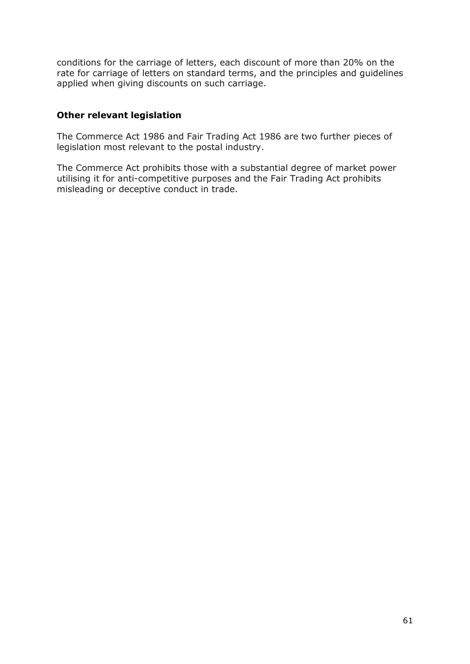conditions for the carriage of letters, each discount of more than 20% on the rate for carriage of letters on standard terms, and the principles and guidelines applied when giving discounts on such carriage.

## **Other relevant legislation**

The Commerce Act 1986 and Fair Trading Act 1986 are two further pieces of legislation most relevant to the postal industry.

The Commerce Act prohibits those with a substantial degree of market power utilising it for anti-competitive purposes and the Fair Trading Act prohibits misleading or deceptive conduct in trade.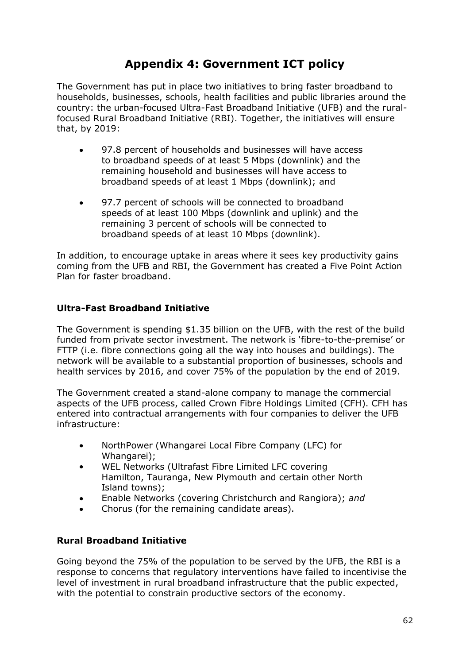# **Appendix 4: Government ICT policy**

The Government has put in place two initiatives to bring faster broadband to households, businesses, schools, health facilities and public libraries around the country: the urban-focused Ultra-Fast Broadband Initiative (UFB) and the ruralfocused Rural Broadband Initiative (RBI). Together, the initiatives will ensure that, by 2019:

- 97.8 percent of households and businesses will have access to broadband speeds of at least 5 Mbps (downlink) and the remaining household and businesses will have access to broadband speeds of at least 1 Mbps (downlink); and
- 97.7 percent of schools will be connected to broadband  $\bullet$ speeds of at least 100 Mbps (downlink and uplink) and the remaining 3 percent of schools will be connected to broadband speeds of at least 10 Mbps (downlink).

In addition, to encourage uptake in areas where it sees key productivity gains coming from the UFB and RBI, the Government has created a Five Point Action Plan for faster broadband.

## **Ultra-Fast Broadband Initiative**

The Government is spending \$1.35 billion on the UFB, with the rest of the build funded from private sector investment. The network is 'fibre-to-the-premise' or FTTP (i.e. fibre connections going all the way into houses and buildings). The network will be available to a substantial proportion of businesses, schools and health services by 2016, and cover 75% of the population by the end of 2019.

The Government created a stand-alone company to manage the commercial aspects of the UFB process, called Crown Fibre Holdings Limited (CFH). CFH has entered into contractual arrangements with four companies to deliver the UFB infrastructure:

- NorthPower (Whangarei Local Fibre Company (LFC) for Whangarei);
- WEL Networks (Ultrafast Fibre Limited LFC covering Hamilton, Tauranga, New Plymouth and certain other North Island towns);
- Enable Networks (covering Christchurch and Rangiora); *and*
- Chorus (for the remaining candidate areas).

## **Rural Broadband Initiative**

Going beyond the 75% of the population to be served by the UFB, the RBI is a response to concerns that regulatory interventions have failed to incentivise the level of investment in rural broadband infrastructure that the public expected, with the potential to constrain productive sectors of the economy.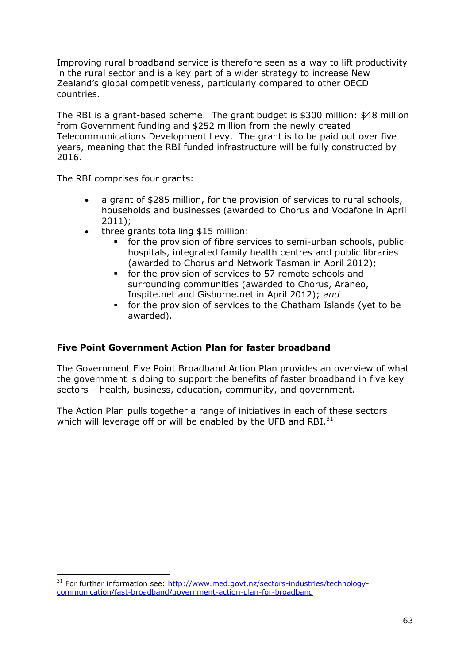Improving rural broadband service is therefore seen as a way to lift productivity in the rural sector and is a key part of a wider strategy to increase New Zealand's global competitiveness, particularly compared to other OECD countries.

The RBI is a grant-based scheme. The grant budget is \$300 million: \$48 million from Government funding and \$252 million from the newly created Telecommunications Development Levy. The grant is to be paid out over five years, meaning that the RBI funded infrastructure will be fully constructed by 2016.

The RBI comprises four grants:

- a grant of \$285 million, for the provision of services to rural schools,  $\bullet$ households and businesses (awarded to Chorus and Vodafone in April 2011);
	- three grants totalling \$15 million:
		- for the provision of fibre services to semi-urban schools, public hospitals, integrated family health centres and public libraries (awarded to Chorus and Network Tasman in April 2012);
		- for the provision of services to 57 remote schools and surrounding communities (awarded to Chorus, Araneo, Inspite.net and Gisborne.net in April 2012); *and*
		- for the provision of services to the Chatham Islands (yet to be awarded).

## **Five Point Government Action Plan for faster broadband**

The Government Five Point Broadband Action Plan provides an overview of what the government is doing to support the benefits of faster broadband in five key sectors – health, business, education, community, and government.

The Action Plan pulls together a range of initiatives in each of these sectors which will leverage off or will be enabled by the UFB and RBI. $^{31}$ 

 $\overline{a}$ <sup>31</sup> For further information see: [http://www.med.govt.nz/sectors-industries/technology](http://www.med.govt.nz/sectors-industries/technology-communication/fast-broadband/government-action-plan-for-broadband)[communication/fast-broadband/government-action-plan-for-broadband](http://www.med.govt.nz/sectors-industries/technology-communication/fast-broadband/government-action-plan-for-broadband)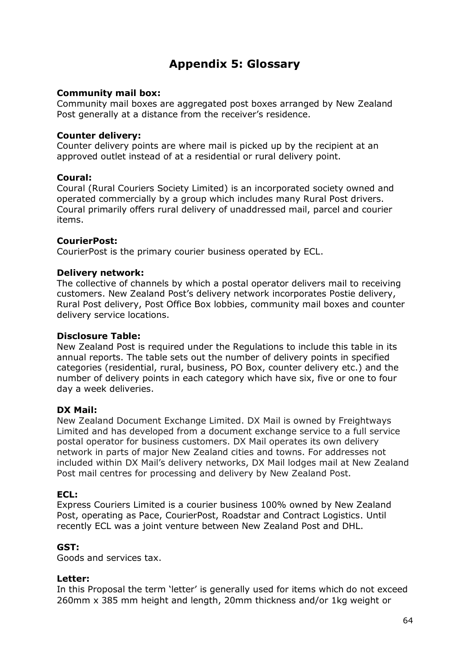# **Appendix 5: Glossary**

#### **Community mail box:**

Community mail boxes are aggregated post boxes arranged by New Zealand Post generally at a distance from the receiver's residence.

#### **Counter delivery:**

Counter delivery points are where mail is picked up by the recipient at an approved outlet instead of at a residential or rural delivery point.

#### **Coural:**

Coural (Rural Couriers Society Limited) is an incorporated society owned and operated commercially by a group which includes many Rural Post drivers. Coural primarily offers rural delivery of unaddressed mail, parcel and courier items.

#### **CourierPost:**

CourierPost is the primary courier business operated by ECL.

#### **Delivery network:**

The collective of channels by which a postal operator delivers mail to receiving customers. New Zealand Post's delivery network incorporates Postie delivery, Rural Post delivery, Post Office Box lobbies, community mail boxes and counter delivery service locations.

#### **Disclosure Table:**

New Zealand Post is required under the Regulations to include this table in its annual reports. The table sets out the number of delivery points in specified categories (residential, rural, business, PO Box, counter delivery etc.) and the number of delivery points in each category which have six, five or one to four day a week deliveries.

## **DX Mail:**

New Zealand Document Exchange Limited. DX Mail is owned by Freightways Limited and has developed from a document exchange service to a full service postal operator for business customers. DX Mail operates its own delivery network in parts of major New Zealand cities and towns. For addresses not included within DX Mail's delivery networks, DX Mail lodges mail at New Zealand Post mail centres for processing and delivery by New Zealand Post.

#### **ECL:**

Express Couriers Limited is a courier business 100% owned by New Zealand Post, operating as Pace, CourierPost, Roadstar and Contract Logistics. Until recently ECL was a joint venture between New Zealand Post and DHL.

#### **GST:**

Goods and services tax.

#### **Letter:**

In this Proposal the term 'letter' is generally used for items which do not exceed 260mm x 385 mm height and length, 20mm thickness and/or 1kg weight or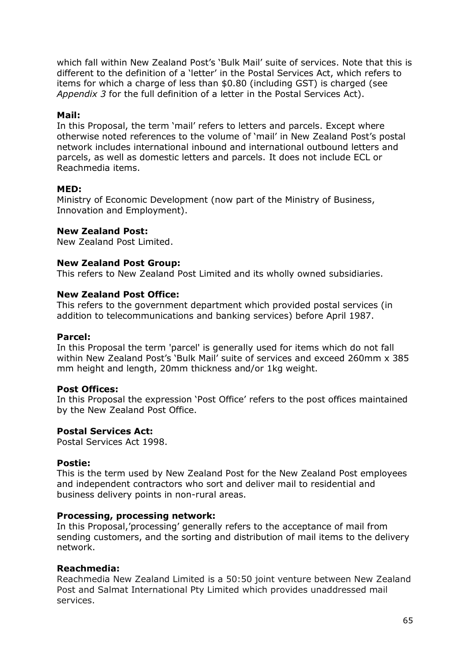which fall within New Zealand Post's 'Bulk Mail' suite of services. Note that this is different to the definition of a 'letter' in the Postal Services Act, which refers to items for which a charge of less than \$0.80 (including GST) is charged (see *Appendix 3* for the full definition of a letter in the Postal Services Act).

#### **Mail:**

In this Proposal, the term 'mail' refers to letters and parcels. Except where otherwise noted references to the volume of 'mail' in New Zealand Post's postal network includes international inbound and international outbound letters and parcels, as well as domestic letters and parcels. It does not include ECL or Reachmedia items.

#### **MED:**

Ministry of Economic Development (now part of the Ministry of Business, Innovation and Employment).

#### **New Zealand Post:**

New Zealand Post Limited.

#### **New Zealand Post Group:**

This refers to New Zealand Post Limited and its wholly owned subsidiaries.

#### **New Zealand Post Office:**

This refers to the government department which provided postal services (in addition to telecommunications and banking services) before April 1987.

#### **Parcel:**

In this Proposal the term 'parcel' is generally used for items which do not fall within New Zealand Post's 'Bulk Mail' suite of services and exceed 260mm x 385 mm height and length, 20mm thickness and/or 1kg weight.

#### **Post Offices:**

In this Proposal the expression 'Post Office' refers to the post offices maintained by the New Zealand Post Office.

#### **Postal Services Act:**

Postal Services Act 1998.

#### **Postie:**

This is the term used by New Zealand Post for the New Zealand Post employees and independent contractors who sort and deliver mail to residential and business delivery points in non-rural areas.

#### **Processing, processing network:**

In this Proposal,'processing' generally refers to the acceptance of mail from sending customers, and the sorting and distribution of mail items to the delivery network.

#### **Reachmedia:**

Reachmedia New Zealand Limited is a 50:50 joint venture between New Zealand Post and Salmat International Pty Limited which provides unaddressed mail services.